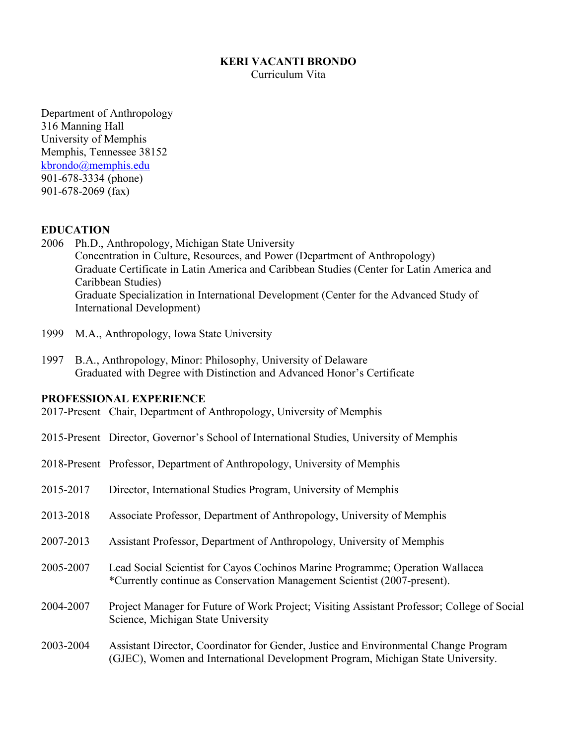#### **KERI VACANTI BRONDO**

Curriculum Vita

Department of Anthropology 316 Manning Hall University of Memphis Memphis, Tennessee 38152 kbrondo@memphis.edu 901-678-3334 (phone) 901-678-2069 (fax)

#### **EDUCATION**

- 2006 Ph.D., Anthropology, Michigan State University Concentration in Culture, Resources, and Power (Department of Anthropology) Graduate Certificate in Latin America and Caribbean Studies (Center for Latin America and Caribbean Studies) Graduate Specialization in International Development (Center for the Advanced Study of International Development)
- 1999 M.A., Anthropology, Iowa State University
- 1997 B.A., Anthropology, Minor: Philosophy, University of Delaware Graduated with Degree with Distinction and Advanced Honor's Certificate

#### **PROFESSIONAL EXPERIENCE**

- 2017-Present Chair, Department of Anthropology, University of Memphis
- 2015-Present Director, Governor's School of International Studies, University of Memphis
- 2018-Present Professor, Department of Anthropology, University of Memphis
- 2015-2017 Director, International Studies Program, University of Memphis
- 2013-2018 Associate Professor, Department of Anthropology, University of Memphis
- 2007-2013 Assistant Professor, Department of Anthropology, University of Memphis
- 2005-2007 Lead Social Scientist for Cayos Cochinos Marine Programme; Operation Wallacea \*Currently continue as Conservation Management Scientist (2007-present).
- 2004-2007 Project Manager for Future of Work Project; Visiting Assistant Professor; College of Social Science, Michigan State University
- 2003-2004 Assistant Director, Coordinator for Gender, Justice and Environmental Change Program (GJEC), Women and International Development Program, Michigan State University.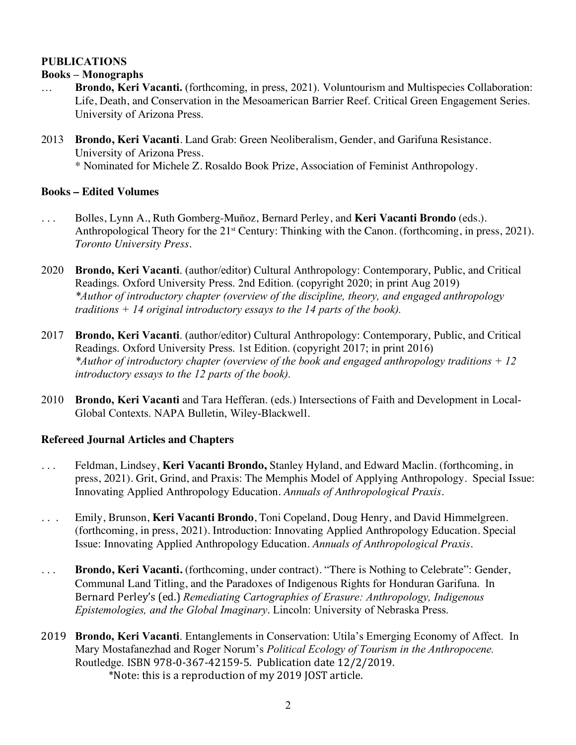## **PUBLICATIONS**

## **Books – Monographs**

- … **Brondo, Keri Vacanti.** (forthcoming, in press, 2021). Voluntourism and Multispecies Collaboration: Life, Death, and Conservation in the Mesoamerican Barrier Reef. Critical Green Engagement Series. University of Arizona Press.
- 2013 **Brondo, Keri Vacanti**. Land Grab: Green Neoliberalism, Gender, and Garifuna Resistance. University of Arizona Press. \* Nominated for Michele Z. Rosaldo Book Prize, Association of Feminist Anthropology.

## **Books – Edited Volumes**

- . . . Bolles, Lynn A., Ruth Gomberg-Muñoz, Bernard Perley, and **Keri Vacanti Brondo** (eds.). Anthropological Theory for the 21<sup>st</sup> Century: Thinking with the Canon. (forthcoming, in press, 2021). *Toronto University Press.*
- 2020 **Brondo, Keri Vacanti**. (author/editor) Cultural Anthropology: Contemporary, Public, and Critical Readings. Oxford University Press. 2nd Edition. (copyright 2020; in print Aug 2019) *\*Author of introductory chapter (overview of the discipline, theory, and engaged anthropology traditions + 14 original introductory essays to the 14 parts of the book).*
- 2017 **Brondo, Keri Vacanti**. (author/editor) Cultural Anthropology: Contemporary, Public, and Critical Readings. Oxford University Press. 1st Edition. (copyright 2017; in print 2016) *\*Author of introductory chapter (overview of the book and engaged anthropology traditions + 12 introductory essays to the 12 parts of the book).*
- 2010 **Brondo, Keri Vacanti** and Tara Hefferan. (eds.) Intersections of Faith and Development in Local-Global Contexts. NAPA Bulletin, Wiley-Blackwell.

## **Refereed Journal Articles and Chapters**

- . . . Feldman, Lindsey, **Keri Vacanti Brondo,** Stanley Hyland, and Edward Maclin. (forthcoming, in press, 2021). Grit, Grind, and Praxis: The Memphis Model of Applying Anthropology. Special Issue: Innovating Applied Anthropology Education. *Annuals of Anthropological Praxis.*
- . . . Emily, Brunson, **Keri Vacanti Brondo**, Toni Copeland, Doug Henry, and David Himmelgreen. (forthcoming, in press, 2021). Introduction: Innovating Applied Anthropology Education. Special Issue: Innovating Applied Anthropology Education. *Annuals of Anthropological Praxis.*
- . . . **Brondo, Keri Vacanti.** (forthcoming, under contract). "There is Nothing to Celebrate": Gender, Communal Land Titling, and the Paradoxes of Indigenous Rights for Honduran Garifuna. In Bernard Perley's (ed.) *Remediating Cartographies of Erasure: Anthropology, Indigenous Epistemologies, and the Global Imaginary*. Lincoln: University of Nebraska Press.
- 2019 **Brondo, Keri Vacanti**. Entanglements in Conservation: Utila's Emerging Economy of Affect. In Mary Mostafanezhad and Roger Norum's *Political Ecology of Tourism in the Anthropocene.*  Routledge. ISBN 978-0-367-42159-5. Publication date 12/2/2019. \*Note: this is a reproduction of my 2019 JOST article.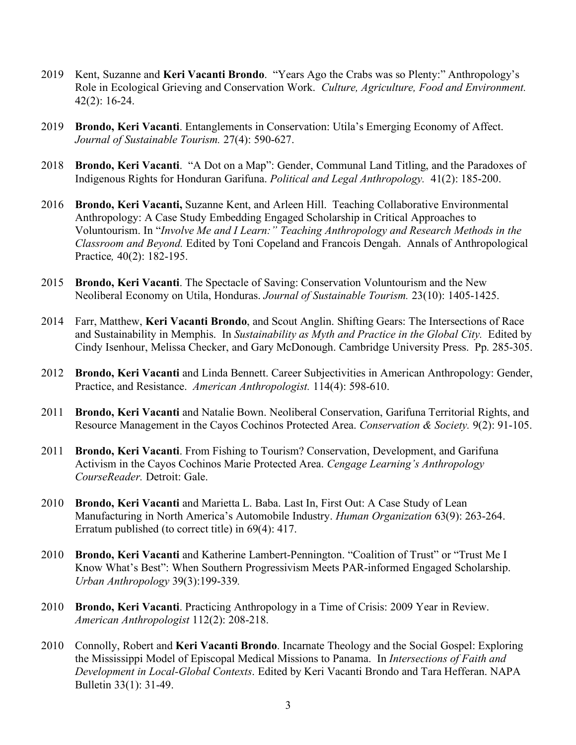- 2019 Kent, Suzanne and **Keri Vacanti Brondo**. "Years Ago the Crabs was so Plenty:" Anthropology's Role in Ecological Grieving and Conservation Work. *Culture, Agriculture, Food and Environment.* 42(2): 16-24.
- 2019 **Brondo, Keri Vacanti**. Entanglements in Conservation: Utila's Emerging Economy of Affect. *Journal of Sustainable Tourism.* 27(4): 590-627.
- 2018 **Brondo, Keri Vacanti**. "A Dot on a Map": Gender, Communal Land Titling, and the Paradoxes of Indigenous Rights for Honduran Garifuna. *Political and Legal Anthropology.* 41(2): 185-200.
- 2016 **Brondo, Keri Vacanti,** Suzanne Kent, and Arleen Hill. Teaching Collaborative Environmental Anthropology: A Case Study Embedding Engaged Scholarship in Critical Approaches to Voluntourism. In "*Involve Me and I Learn:" Teaching Anthropology and Research Methods in the Classroom and Beyond.* Edited by Toni Copeland and Francois Dengah. Annals of Anthropological Practice*,* 40(2): 182-195.
- 2015 **Brondo, Keri Vacanti**. The Spectacle of Saving: Conservation Voluntourism and the New Neoliberal Economy on Utila, Honduras. *Journal of Sustainable Tourism.* 23(10): 1405-1425.
- 2014 Farr, Matthew, **Keri Vacanti Brondo**, and Scout Anglin. Shifting Gears: The Intersections of Race and Sustainability in Memphis. In *Sustainability as Myth and Practice in the Global City.* Edited by Cindy Isenhour, Melissa Checker, and Gary McDonough. Cambridge University Press. Pp. 285-305.
- 2012 **Brondo, Keri Vacanti** and Linda Bennett. Career Subjectivities in American Anthropology: Gender, Practice, and Resistance. *American Anthropologist.* 114(4): 598-610.
- 2011 **Brondo, Keri Vacanti** and Natalie Bown. Neoliberal Conservation, Garifuna Territorial Rights, and Resource Management in the Cayos Cochinos Protected Area. *Conservation & Society.* 9(2): 91-105.
- 2011 **Brondo, Keri Vacanti**. From Fishing to Tourism? Conservation, Development, and Garifuna Activism in the Cayos Cochinos Marie Protected Area. *Cengage Learning's Anthropology CourseReader.* Detroit: Gale.
- 2010 **Brondo, Keri Vacanti** and Marietta L. Baba. Last In, First Out: A Case Study of Lean Manufacturing in North America's Automobile Industry. *Human Organization* 63(9): 263-264. Erratum published (to correct title) in 69(4): 417.
- 2010 **Brondo, Keri Vacanti** and Katherine Lambert-Pennington. "Coalition of Trust" or "Trust Me I Know What's Best": When Southern Progressivism Meets PAR-informed Engaged Scholarship. *Urban Anthropology* 39(3):199-339*.*
- 2010 **Brondo, Keri Vacanti**. Practicing Anthropology in a Time of Crisis: 2009 Year in Review. *American Anthropologist* 112(2): 208-218.
- 2010 Connolly, Robert and **Keri Vacanti Brondo**. Incarnate Theology and the Social Gospel: Exploring the Mississippi Model of Episcopal Medical Missions to Panama. In *Intersections of Faith and Development in Local-Global Contexts*. Edited by Keri Vacanti Brondo and Tara Hefferan. NAPA Bulletin 33(1): 31-49.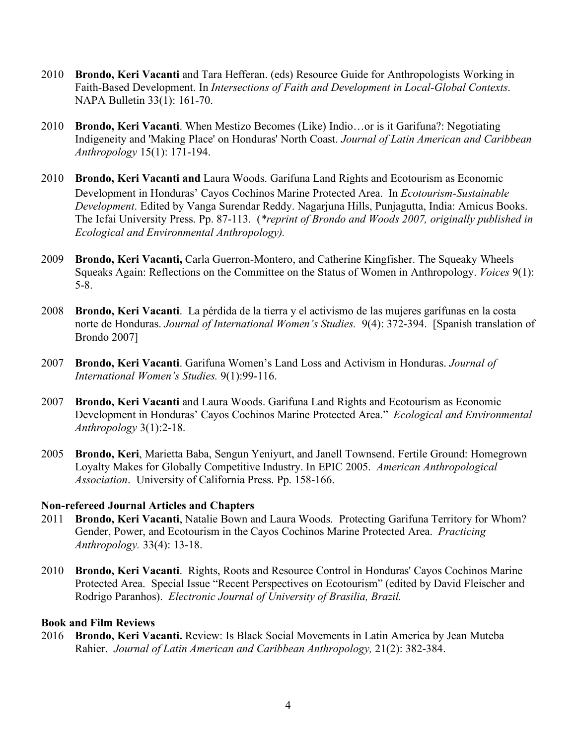- 2010 **Brondo, Keri Vacanti** and Tara Hefferan. (eds) Resource Guide for Anthropologists Working in Faith-Based Development. In *Intersections of Faith and Development in Local-Global Contexts*. NAPA Bulletin 33(1): 161-70.
- 2010 **Brondo, Keri Vacanti**. When Mestizo Becomes (Like) Indio…or is it Garifuna?: Negotiating Indigeneity and 'Making Place' on Honduras' North Coast. *Journal of Latin American and Caribbean Anthropology* 15(1): 171-194.
- 2010 **Brondo, Keri Vacanti and** Laura Woods. Garifuna Land Rights and Ecotourism as Economic Development in Honduras' Cayos Cochinos Marine Protected Area. In *Ecotourism-Sustainable Development*. Edited by Vanga Surendar Reddy. Nagarjuna Hills, Punjagutta, India: Amicus Books. The Icfai University Press. Pp. 87-113. (*\*reprint of Brondo and Woods 2007, originally published in Ecological and Environmental Anthropology).*
- 2009 **Brondo, Keri Vacanti,** Carla Guerron-Montero, and Catherine Kingfisher. The Squeaky Wheels Squeaks Again: Reflections on the Committee on the Status of Women in Anthropology. *Voices* 9(1): 5-8.
- 2008 **Brondo, Keri Vacanti**. La pérdida de la tierra y el activismo de las mujeres garífunas en la costa norte de Honduras. *Journal of International Women's Studies.* 9(4): 372-394. [Spanish translation of Brondo 2007]
- 2007 **Brondo, Keri Vacanti**. Garifuna Women's Land Loss and Activism in Honduras. *Journal of International Women's Studies.* 9(1):99-116.
- 2007 **Brondo, Keri Vacanti** and Laura Woods. Garifuna Land Rights and Ecotourism as Economic Development in Honduras' Cayos Cochinos Marine Protected Area." *Ecological and Environmental Anthropology* 3(1):2-18.
- 2005 **Brondo, Keri**, Marietta Baba, Sengun Yeniyurt, and Janell Townsend. Fertile Ground: Homegrown Loyalty Makes for Globally Competitive Industry. In EPIC 2005. *American Anthropological Association*. University of California Press. Pp. 158-166.

#### **Non-refereed Journal Articles and Chapters**

- 2011 **Brondo, Keri Vacanti**, Natalie Bown and Laura Woods. Protecting Garifuna Territory for Whom? Gender, Power, and Ecotourism in the Cayos Cochinos Marine Protected Area. *Practicing Anthropology.* 33(4): 13-18.
- 2010 **Brondo, Keri Vacanti**. Rights, Roots and Resource Control in Honduras' Cayos Cochinos Marine Protected Area. Special Issue "Recent Perspectives on Ecotourism" (edited by David Fleischer and Rodrigo Paranhos). *Electronic Journal of University of Brasilia, Brazil.*

#### **Book and Film Reviews**

2016 **Brondo, Keri Vacanti.** Review: Is Black Social Movements in Latin America by Jean Muteba Rahier. *Journal of Latin American and Caribbean Anthropology,* 21(2): 382-384.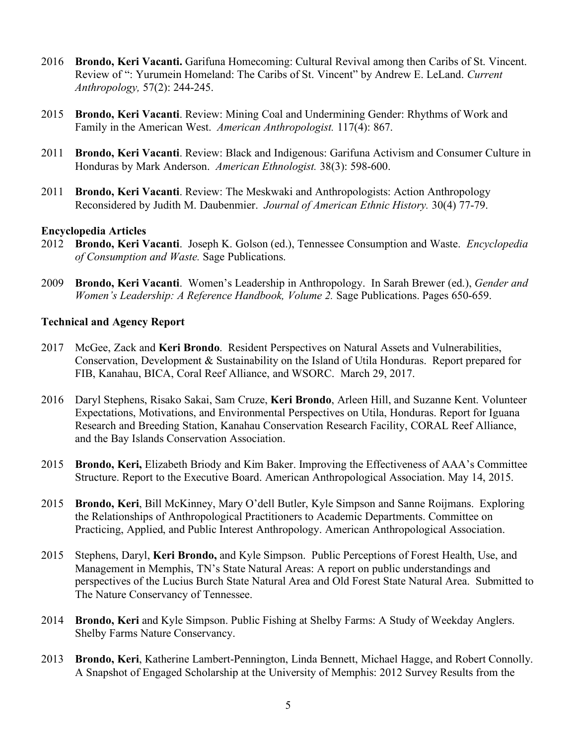- 2016 **Brondo, Keri Vacanti.** Garifuna Homecoming: Cultural Revival among then Caribs of St. Vincent. Review of ": Yurumein Homeland: The Caribs of St. Vincent" by Andrew E. LeLand. *Current Anthropology,* 57(2): 244-245.
- 2015 **Brondo, Keri Vacanti**. Review: Mining Coal and Undermining Gender: Rhythms of Work and Family in the American West. *American Anthropologist.* 117(4): 867.
- 2011 **Brondo, Keri Vacanti**. Review: Black and Indigenous: Garifuna Activism and Consumer Culture in Honduras by Mark Anderson. *American Ethnologist.* 38(3): 598-600.
- 2011 **Brondo, Keri Vacanti**. Review: The Meskwaki and Anthropologists: Action Anthropology Reconsidered by Judith M. Daubenmier. *Journal of American Ethnic History.* 30(4) 77-79.

#### **Encyclopedia Articles**

- 2012 **Brondo, Keri Vacanti**.Joseph K. Golson (ed.), Tennessee Consumption and Waste. *Encyclopedia of Consumption and Waste.* Sage Publications.
- 2009 **Brondo, Keri Vacanti**. Women's Leadership in Anthropology. In Sarah Brewer (ed.), *Gender and Women's Leadership: A Reference Handbook, Volume 2.* Sage Publications. Pages 650-659.

#### **Technical and Agency Report**

- 2017 McGee, Zack and **Keri Brondo**. Resident Perspectives on Natural Assets and Vulnerabilities, Conservation, Development & Sustainability on the Island of Utila Honduras. Report prepared for FIB, Kanahau, BICA, Coral Reef Alliance, and WSORC. March 29, 2017.
- 2016 Daryl Stephens, Risako Sakai, Sam Cruze, **Keri Brondo**, Arleen Hill, and Suzanne Kent. Volunteer Expectations, Motivations, and Environmental Perspectives on Utila, Honduras. Report for Iguana Research and Breeding Station, Kanahau Conservation Research Facility, CORAL Reef Alliance, and the Bay Islands Conservation Association.
- 2015 **Brondo, Keri,** Elizabeth Briody and Kim Baker. Improving the Effectiveness of AAA's Committee Structure. Report to the Executive Board. American Anthropological Association. May 14, 2015.
- 2015 **Brondo, Keri**, Bill McKinney, Mary O'dell Butler, Kyle Simpson and Sanne Roijmans. Exploring the Relationships of Anthropological Practitioners to Academic Departments. Committee on Practicing, Applied, and Public Interest Anthropology. American Anthropological Association.
- 2015 Stephens, Daryl, **Keri Brondo,** and Kyle Simpson. Public Perceptions of Forest Health, Use, and Management in Memphis, TN's State Natural Areas: A report on public understandings and perspectives of the Lucius Burch State Natural Area and Old Forest State Natural Area. Submitted to The Nature Conservancy of Tennessee.
- 2014 **Brondo, Keri** and Kyle Simpson. Public Fishing at Shelby Farms: A Study of Weekday Anglers. Shelby Farms Nature Conservancy.
- 2013 **Brondo, Keri**, Katherine Lambert-Pennington, Linda Bennett, Michael Hagge, and Robert Connolly. A Snapshot of Engaged Scholarship at the University of Memphis: 2012 Survey Results from the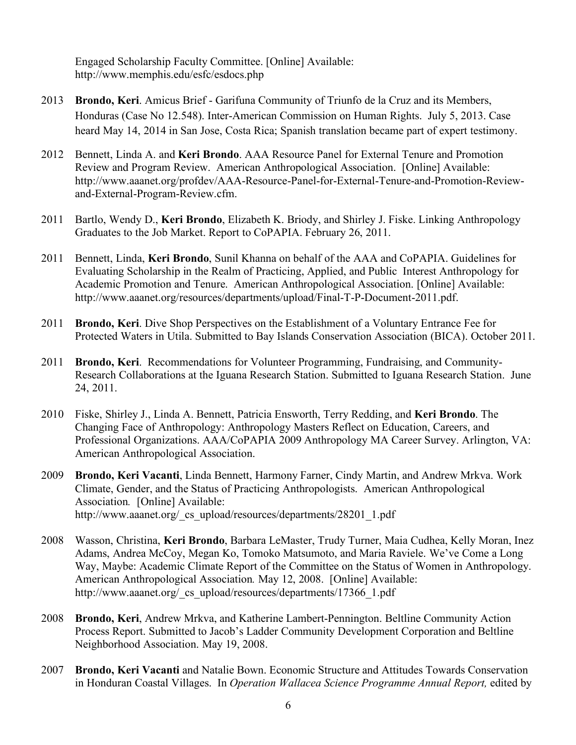Engaged Scholarship Faculty Committee. [Online] Available: http://www.memphis.edu/esfc/esdocs.php

- 2013 **Brondo, Keri**. Amicus Brief Garifuna Community of Triunfo de la Cruz and its Members, Honduras (Case No 12.548). Inter-American Commission on Human Rights. July 5, 2013. Case heard May 14, 2014 in San Jose, Costa Rica; Spanish translation became part of expert testimony.
- 2012 Bennett, Linda A. and **Keri Brondo**. AAA Resource Panel for External Tenure and Promotion Review and Program Review. American Anthropological Association. [Online] Available: http://www.aaanet.org/profdev/AAA-Resource-Panel-for-External-Tenure-and-Promotion-Reviewand-External-Program-Review.cfm.
- 2011 Bartlo, Wendy D., **Keri Brondo**, Elizabeth K. Briody, and Shirley J. Fiske. Linking Anthropology Graduates to the Job Market. Report to CoPAPIA. February 26, 2011.
- 2011 Bennett, Linda, **Keri Brondo**, Sunil Khanna on behalf of the AAA and CoPAPIA. Guidelines for Evaluating Scholarship in the Realm of Practicing, Applied, and Public Interest Anthropology for Academic Promotion and Tenure. American Anthropological Association. [Online] Available: http://www.aaanet.org/resources/departments/upload/Final-T-P-Document-2011.pdf.
- 2011 **Brondo, Keri**. Dive Shop Perspectives on the Establishment of a Voluntary Entrance Fee for Protected Waters in Utila. Submitted to Bay Islands Conservation Association (BICA). October 2011.
- 2011 **Brondo, Keri**. Recommendations for Volunteer Programming, Fundraising, and Community-Research Collaborations at the Iguana Research Station. Submitted to Iguana Research Station. June 24, 2011.
- 2010 Fiske, Shirley J., Linda A. Bennett, Patricia Ensworth, Terry Redding, and **Keri Brondo**. The Changing Face of Anthropology: Anthropology Masters Reflect on Education, Careers, and Professional Organizations. AAA/CoPAPIA 2009 Anthropology MA Career Survey. Arlington, VA: American Anthropological Association.
- 2009 **Brondo, Keri Vacanti**, Linda Bennett, Harmony Farner, Cindy Martin, and Andrew Mrkva. Work Climate, Gender, and the Status of Practicing Anthropologists. American Anthropological Association*.* [Online] Available: http://www.aaanet.org/\_cs\_upload/resources/departments/28201\_1.pdf
- 2008 Wasson, Christina, **Keri Brondo**, Barbara LeMaster, Trudy Turner, Maia Cudhea, Kelly Moran, Inez Adams, Andrea McCoy, Megan Ko, Tomoko Matsumoto, and Maria Raviele. We've Come a Long Way, Maybe: Academic Climate Report of the Committee on the Status of Women in Anthropology. American Anthropological Association*.* May 12, 2008. [Online] Available: http://www.aaanet.org/\_cs\_upload/resources/departments/17366\_1.pdf
- 2008 **Brondo, Keri**, Andrew Mrkva, and Katherine Lambert-Pennington. Beltline Community Action Process Report. Submitted to Jacob's Ladder Community Development Corporation and Beltline Neighborhood Association. May 19, 2008.
- 2007 **Brondo, Keri Vacanti** and Natalie Bown. Economic Structure and Attitudes Towards Conservation in Honduran Coastal Villages. In *Operation Wallacea Science Programme Annual Report,* edited by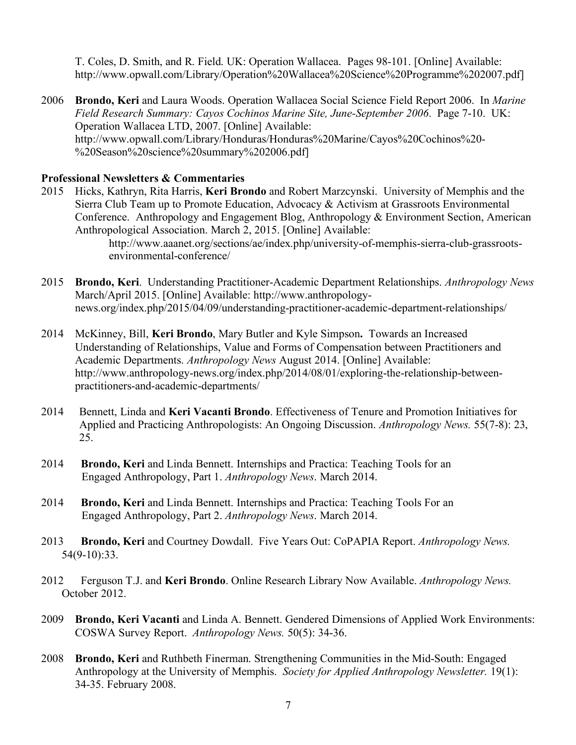T. Coles, D. Smith, and R. Field. UK: Operation Wallacea. Pages 98-101. [Online] Available: http://www.opwall.com/Library/Operation%20Wallacea%20Science%20Programme%202007.pdf]

2006 **Brondo, Keri** and Laura Woods. Operation Wallacea Social Science Field Report 2006. In *Marine Field Research Summary: Cayos Cochinos Marine Site, June-September 2006*. Page 7-10. UK: Operation Wallacea LTD, 2007. [Online] Available: http://www.opwall.com/Library/Honduras/Honduras%20Marine/Cayos%20Cochinos%20- %20Season%20science%20summary%202006.pdf]

#### **Professional Newsletters & Commentaries**

- 2015 Hicks, Kathryn, Rita Harris, **Keri Brondo** and Robert Marzcynski. University of Memphis and the Sierra Club Team up to Promote Education, Advocacy & Activism at Grassroots Environmental Conference. Anthropology and Engagement Blog, Anthropology & Environment Section, American Anthropological Association. March 2, 2015. [Online] Available: http://www.aaanet.org/sections/ae/index.php/university-of-memphis-sierra-club-grassrootsenvironmental-conference/
- 2015 **Brondo, Keri**. Understanding Practitioner-Academic Department Relationships. *Anthropology News* March/April 2015. [Online] Available: http://www.anthropologynews.org/index.php/2015/04/09/understanding-practitioner-academic-department-relationships/
- 2014 McKinney, Bill, **Keri Brondo**, Mary Butler and Kyle Simpson**.** Towards an Increased Understanding of Relationships, Value and Forms of Compensation between Practitioners and Academic Departments. *Anthropology News* August 2014. [Online] Available: http://www.anthropology-news.org/index.php/2014/08/01/exploring-the-relationship-betweenpractitioners-and-academic-departments/
- 2014 Bennett, Linda and **Keri Vacanti Brondo**. Effectiveness of Tenure and Promotion Initiatives for Applied and Practicing Anthropologists: An Ongoing Discussion. *Anthropology News.* 55(7-8): 23, 25.
- 2014 **Brondo, Keri** and Linda Bennett. Internships and Practica: Teaching Tools for an Engaged Anthropology, Part 1. *Anthropology News*. March 2014.
- 2014 **Brondo, Keri** and Linda Bennett. Internships and Practica: Teaching Tools For an Engaged Anthropology, Part 2. *Anthropology News*. March 2014.
- 2013 **Brondo, Keri** and Courtney Dowdall. Five Years Out: CoPAPIA Report. *Anthropology News.*  54(9-10):33.
- 2012 Ferguson T.J. and **Keri Brondo**. Online Research Library Now Available. *Anthropology News.*  October 2012.
- 2009 **Brondo, Keri Vacanti** and Linda A. Bennett. Gendered Dimensions of Applied Work Environments: COSWA Survey Report. *Anthropology News.* 50(5): 34-36.
- 2008 **Brondo, Keri** and Ruthbeth Finerman. Strengthening Communities in the Mid-South: Engaged Anthropology at the University of Memphis. *Society for Applied Anthropology Newsletter.* 19(1): 34-35. February 2008.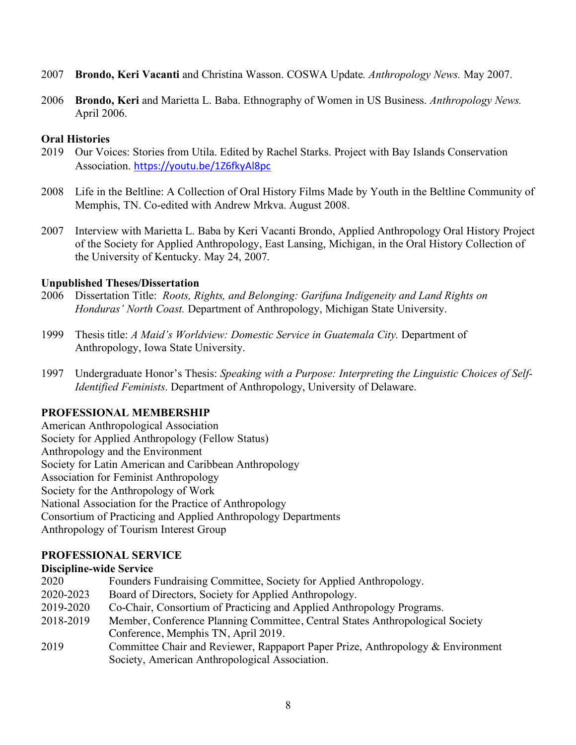- 2007 **Brondo, Keri Vacanti** and Christina Wasson. COSWA Update*. Anthropology News.* May 2007.
- 2006 **Brondo, Keri** and Marietta L. Baba. Ethnography of Women in US Business. *Anthropology News.*  April 2006.

## **Oral Histories**

- 2019 Our Voices: Stories from Utila. Edited by Rachel Starks. Project with Bay Islands Conservation Association. https://youtu.be/1Z6fkyAl8pc
- 2008 Life in the Beltline: A Collection of Oral History Films Made by Youth in the Beltline Community of Memphis, TN. Co-edited with Andrew Mrkva. August 2008.
- 2007 Interview with Marietta L. Baba by Keri Vacanti Brondo, Applied Anthropology Oral History Project of the Society for Applied Anthropology, East Lansing, Michigan, in the Oral History Collection of the University of Kentucky. May 24, 2007.

## **Unpublished Theses/Dissertation**

- 2006 Dissertation Title: *Roots, Rights, and Belonging: Garifuna Indigeneity and Land Rights on Honduras' North Coast.* Department of Anthropology, Michigan State University.
- 1999 Thesis title: *A Maid's Worldview: Domestic Service in Guatemala City.* Department of Anthropology, Iowa State University.
- 1997 Undergraduate Honor's Thesis: *Speaking with a Purpose: Interpreting the Linguistic Choices of Self-Identified Feminists*. Department of Anthropology, University of Delaware.

## **PROFESSIONAL MEMBERSHIP**

American Anthropological Association Society for Applied Anthropology (Fellow Status) Anthropology and the Environment Society for Latin American and Caribbean Anthropology Association for Feminist Anthropology Society for the Anthropology of Work National Association for the Practice of Anthropology Consortium of Practicing and Applied Anthropology Departments Anthropology of Tourism Interest Group

## **PROFESSIONAL SERVICE**

## **Discipline-wide Service**

| 2020      | Founders Fundraising Committee, Society for Applied Anthropology.               |
|-----------|---------------------------------------------------------------------------------|
| 2020-2023 | Board of Directors, Society for Applied Anthropology.                           |
| 2019-2020 | Co-Chair, Consortium of Practicing and Applied Anthropology Programs.           |
| 2018-2019 | Member, Conference Planning Committee, Central States Anthropological Society   |
|           | Conference, Memphis TN, April 2019.                                             |
| 2019      | Committee Chair and Reviewer, Rappaport Paper Prize, Anthropology & Environment |
|           | Society, American Anthropological Association.                                  |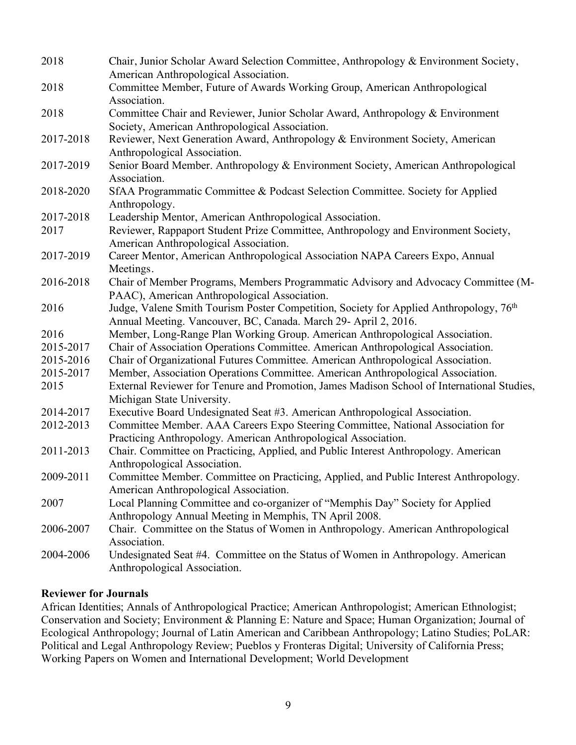| 2018      | Chair, Junior Scholar Award Selection Committee, Anthropology & Environment Society,                             |
|-----------|------------------------------------------------------------------------------------------------------------------|
|           | American Anthropological Association.                                                                            |
| 2018      | Committee Member, Future of Awards Working Group, American Anthropological<br>Association.                       |
| 2018      | Committee Chair and Reviewer, Junior Scholar Award, Anthropology & Environment                                   |
|           | Society, American Anthropological Association.                                                                   |
| 2017-2018 | Reviewer, Next Generation Award, Anthropology & Environment Society, American                                    |
|           | Anthropological Association.                                                                                     |
| 2017-2019 | Senior Board Member. Anthropology & Environment Society, American Anthropological                                |
|           | Association.                                                                                                     |
| 2018-2020 | SfAA Programmatic Committee & Podcast Selection Committee. Society for Applied                                   |
|           | Anthropology.                                                                                                    |
| 2017-2018 | Leadership Mentor, American Anthropological Association.                                                         |
| 2017      | Reviewer, Rappaport Student Prize Committee, Anthropology and Environment Society,                               |
|           | American Anthropological Association.                                                                            |
| 2017-2019 | Career Mentor, American Anthropological Association NAPA Careers Expo, Annual                                    |
|           | Meetings.                                                                                                        |
| 2016-2018 | Chair of Member Programs, Members Programmatic Advisory and Advocacy Committee (M-                               |
|           | PAAC), American Anthropological Association.                                                                     |
| 2016      | Judge, Valene Smith Tourism Poster Competition, Society for Applied Anthropology, 76 <sup>th</sup>               |
|           | Annual Meeting. Vancouver, BC, Canada. March 29- April 2, 2016.                                                  |
| 2016      | Member, Long-Range Plan Working Group. American Anthropological Association.                                     |
| 2015-2017 | Chair of Association Operations Committee. American Anthropological Association.                                 |
| 2015-2016 | Chair of Organizational Futures Committee. American Anthropological Association.                                 |
| 2015-2017 | Member, Association Operations Committee. American Anthropological Association.                                  |
| 2015      | External Reviewer for Tenure and Promotion, James Madison School of International Studies,                       |
|           | Michigan State University.                                                                                       |
| 2014-2017 | Executive Board Undesignated Seat #3. American Anthropological Association.                                      |
| 2012-2013 | Committee Member. AAA Careers Expo Steering Committee, National Association for                                  |
|           | Practicing Anthropology. American Anthropological Association.                                                   |
| 2011-2013 | Chair. Committee on Practicing, Applied, and Public Interest Anthropology. American                              |
|           | Anthropological Association.                                                                                     |
| 2009-2011 | Committee Member. Committee on Practicing, Applied, and Public Interest Anthropology.                            |
|           | American Anthropological Association.                                                                            |
| 2007      | Local Planning Committee and co-organizer of "Memphis Day" Society for Applied                                   |
|           | Anthropology Annual Meeting in Memphis, TN April 2008.                                                           |
| 2006-2007 | Chair. Committee on the Status of Women in Anthropology. American Anthropological                                |
|           | Association.                                                                                                     |
| 2004-2006 | Undesignated Seat #4. Committee on the Status of Women in Anthropology. American<br>Anthropological Association. |

## **Reviewer for Journals**

African Identities; Annals of Anthropological Practice; American Anthropologist; American Ethnologist; Conservation and Society; Environment & Planning E: Nature and Space; Human Organization; Journal of Ecological Anthropology; Journal of Latin American and Caribbean Anthropology; Latino Studies; PoLAR: Political and Legal Anthropology Review; Pueblos y Fronteras Digital; University of California Press; Working Papers on Women and International Development; World Development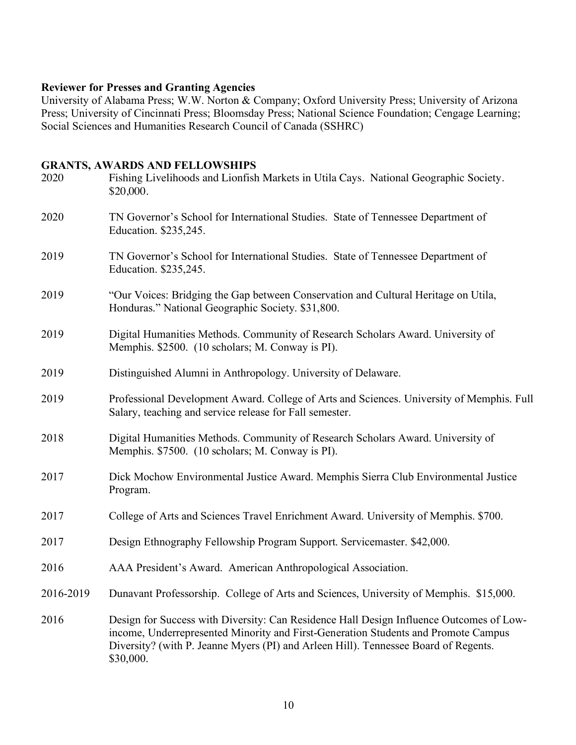## **Reviewer for Presses and Granting Agencies**

University of Alabama Press; W.W. Norton & Company; Oxford University Press; University of Arizona Press; University of Cincinnati Press; Bloomsday Press; National Science Foundation; Cengage Learning; Social Sciences and Humanities Research Council of Canada (SSHRC)

## **GRANTS, AWARDS AND FELLOWSHIPS**

| 2020      | Fishing Livelihoods and Lionfish Markets in Utila Cays. National Geographic Society.<br>\$20,000.                                                                                                                                                                                 |
|-----------|-----------------------------------------------------------------------------------------------------------------------------------------------------------------------------------------------------------------------------------------------------------------------------------|
| 2020      | TN Governor's School for International Studies. State of Tennessee Department of<br>Education. \$235,245.                                                                                                                                                                         |
| 2019      | TN Governor's School for International Studies. State of Tennessee Department of<br>Education. \$235,245.                                                                                                                                                                         |
| 2019      | "Our Voices: Bridging the Gap between Conservation and Cultural Heritage on Utila,<br>Honduras." National Geographic Society. \$31,800.                                                                                                                                           |
| 2019      | Digital Humanities Methods. Community of Research Scholars Award. University of<br>Memphis. \$2500. (10 scholars; M. Conway is PI).                                                                                                                                               |
| 2019      | Distinguished Alumni in Anthropology. University of Delaware.                                                                                                                                                                                                                     |
| 2019      | Professional Development Award. College of Arts and Sciences. University of Memphis. Full<br>Salary, teaching and service release for Fall semester.                                                                                                                              |
| 2018      | Digital Humanities Methods. Community of Research Scholars Award. University of<br>Memphis. \$7500. (10 scholars; M. Conway is PI).                                                                                                                                               |
| 2017      | Dick Mochow Environmental Justice Award. Memphis Sierra Club Environmental Justice<br>Program.                                                                                                                                                                                    |
| 2017      | College of Arts and Sciences Travel Enrichment Award. University of Memphis. \$700.                                                                                                                                                                                               |
| 2017      | Design Ethnography Fellowship Program Support. Servicemaster. \$42,000.                                                                                                                                                                                                           |
| 2016      | AAA President's Award. American Anthropological Association.                                                                                                                                                                                                                      |
| 2016-2019 | Dunavant Professorship. College of Arts and Sciences, University of Memphis. \$15,000.                                                                                                                                                                                            |
| 2016      | Design for Success with Diversity: Can Residence Hall Design Influence Outcomes of Low-<br>income, Underrepresented Minority and First-Generation Students and Promote Campus<br>Diversity? (with P. Jeanne Myers (PI) and Arleen Hill). Tennessee Board of Regents.<br>\$30,000. |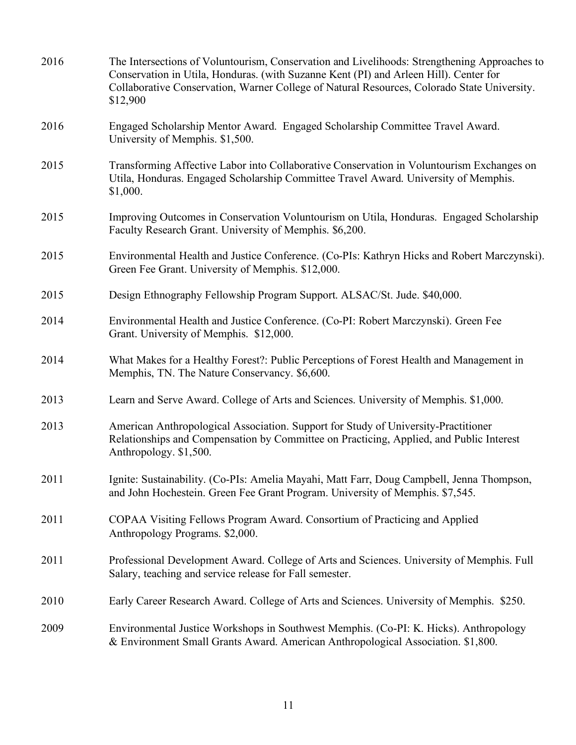| 2016 | The Intersections of Voluntourism, Conservation and Livelihoods: Strengthening Approaches to<br>Conservation in Utila, Honduras. (with Suzanne Kent (PI) and Arleen Hill). Center for<br>Collaborative Conservation, Warner College of Natural Resources, Colorado State University.<br>\$12,900 |
|------|--------------------------------------------------------------------------------------------------------------------------------------------------------------------------------------------------------------------------------------------------------------------------------------------------|
| 2016 | Engaged Scholarship Mentor Award. Engaged Scholarship Committee Travel Award.<br>University of Memphis. \$1,500.                                                                                                                                                                                 |
| 2015 | Transforming Affective Labor into Collaborative Conservation in Voluntourism Exchanges on<br>Utila, Honduras. Engaged Scholarship Committee Travel Award. University of Memphis.<br>\$1,000.                                                                                                     |
| 2015 | Improving Outcomes in Conservation Voluntourism on Utila, Honduras. Engaged Scholarship<br>Faculty Research Grant. University of Memphis. \$6,200.                                                                                                                                               |
| 2015 | Environmental Health and Justice Conference. (Co-PIs: Kathryn Hicks and Robert Marczynski).<br>Green Fee Grant. University of Memphis. \$12,000.                                                                                                                                                 |
| 2015 | Design Ethnography Fellowship Program Support. ALSAC/St. Jude. \$40,000.                                                                                                                                                                                                                         |
| 2014 | Environmental Health and Justice Conference. (Co-PI: Robert Marczynski). Green Fee<br>Grant. University of Memphis. \$12,000.                                                                                                                                                                    |
| 2014 | What Makes for a Healthy Forest?: Public Perceptions of Forest Health and Management in<br>Memphis, TN. The Nature Conservancy. \$6,600.                                                                                                                                                         |
| 2013 | Learn and Serve Award. College of Arts and Sciences. University of Memphis. \$1,000.                                                                                                                                                                                                             |
| 2013 | American Anthropological Association. Support for Study of University-Practitioner<br>Relationships and Compensation by Committee on Practicing, Applied, and Public Interest<br>Anthropology. \$1,500.                                                                                          |
| 2011 | Ignite: Sustainability. (Co-PIs: Amelia Mayahi, Matt Farr, Doug Campbell, Jenna Thompson,<br>and John Hochestein. Green Fee Grant Program. University of Memphis. \$7,545.                                                                                                                       |
| 2011 | COPAA Visiting Fellows Program Award. Consortium of Practicing and Applied<br>Anthropology Programs. \$2,000.                                                                                                                                                                                    |
| 2011 | Professional Development Award. College of Arts and Sciences. University of Memphis. Full<br>Salary, teaching and service release for Fall semester.                                                                                                                                             |
| 2010 | Early Career Research Award. College of Arts and Sciences. University of Memphis. \$250.                                                                                                                                                                                                         |
| 2009 | Environmental Justice Workshops in Southwest Memphis. (Co-PI: K. Hicks). Anthropology<br>& Environment Small Grants Award. American Anthropological Association. \$1,800.                                                                                                                        |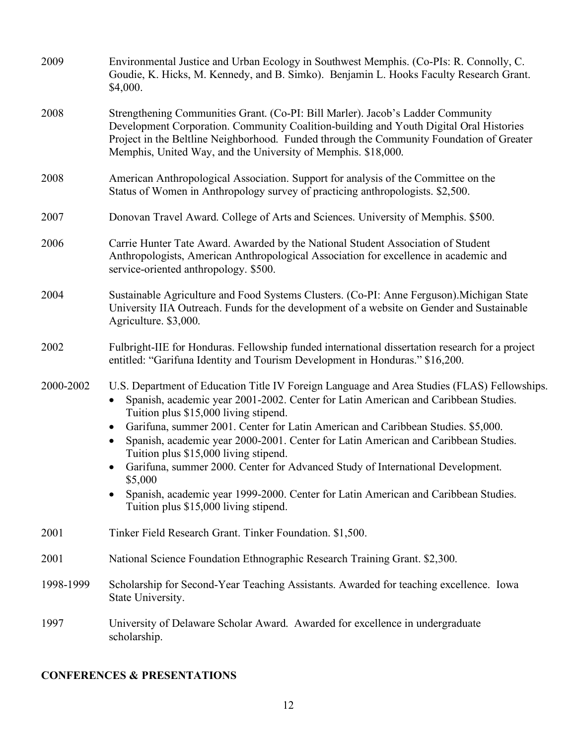| 2009      | Environmental Justice and Urban Ecology in Southwest Memphis. (Co-PIs: R. Connolly, C.<br>Goudie, K. Hicks, M. Kennedy, and B. Simko). Benjamin L. Hooks Faculty Research Grant.<br>\$4,000.                                                                                                                                                                                                                                                                                                                                                                                                                                                                                                                                       |
|-----------|------------------------------------------------------------------------------------------------------------------------------------------------------------------------------------------------------------------------------------------------------------------------------------------------------------------------------------------------------------------------------------------------------------------------------------------------------------------------------------------------------------------------------------------------------------------------------------------------------------------------------------------------------------------------------------------------------------------------------------|
| 2008      | Strengthening Communities Grant. (Co-PI: Bill Marler). Jacob's Ladder Community<br>Development Corporation. Community Coalition-building and Youth Digital Oral Histories<br>Project in the Beltline Neighborhood. Funded through the Community Foundation of Greater<br>Memphis, United Way, and the University of Memphis. \$18,000.                                                                                                                                                                                                                                                                                                                                                                                             |
| 2008      | American Anthropological Association. Support for analysis of the Committee on the<br>Status of Women in Anthropology survey of practicing anthropologists. \$2,500.                                                                                                                                                                                                                                                                                                                                                                                                                                                                                                                                                               |
| 2007      | Donovan Travel Award. College of Arts and Sciences. University of Memphis. \$500.                                                                                                                                                                                                                                                                                                                                                                                                                                                                                                                                                                                                                                                  |
| 2006      | Carrie Hunter Tate Award. Awarded by the National Student Association of Student<br>Anthropologists, American Anthropological Association for excellence in academic and<br>service-oriented anthropology. \$500.                                                                                                                                                                                                                                                                                                                                                                                                                                                                                                                  |
| 2004      | Sustainable Agriculture and Food Systems Clusters. (Co-PI: Anne Ferguson). Michigan State<br>University IIA Outreach. Funds for the development of a website on Gender and Sustainable<br>Agriculture. \$3,000.                                                                                                                                                                                                                                                                                                                                                                                                                                                                                                                    |
| 2002      | Fulbright-IIE for Honduras. Fellowship funded international dissertation research for a project<br>entitled: "Garifuna Identity and Tourism Development in Honduras." \$16,200.                                                                                                                                                                                                                                                                                                                                                                                                                                                                                                                                                    |
| 2000-2002 | U.S. Department of Education Title IV Foreign Language and Area Studies (FLAS) Fellowships.<br>Spanish, academic year 2001-2002. Center for Latin American and Caribbean Studies.<br>$\bullet$<br>Tuition plus \$15,000 living stipend.<br>Garifuna, summer 2001. Center for Latin American and Caribbean Studies. \$5,000.<br>$\bullet$<br>Spanish, academic year 2000-2001. Center for Latin American and Caribbean Studies.<br>$\bullet$<br>Tuition plus \$15,000 living stipend.<br>Garifuna, summer 2000. Center for Advanced Study of International Development.<br>$\bullet$<br>\$5,000<br>Spanish, academic year 1999-2000. Center for Latin American and Caribbean Studies.<br>٠<br>Tuition plus \$15,000 living stipend. |
| 2001      | Tinker Field Research Grant. Tinker Foundation. \$1,500.                                                                                                                                                                                                                                                                                                                                                                                                                                                                                                                                                                                                                                                                           |
| 2001      | National Science Foundation Ethnographic Research Training Grant. \$2,300.                                                                                                                                                                                                                                                                                                                                                                                                                                                                                                                                                                                                                                                         |
| 1998-1999 | Scholarship for Second-Year Teaching Assistants. Awarded for teaching excellence. Iowa<br>State University.                                                                                                                                                                                                                                                                                                                                                                                                                                                                                                                                                                                                                        |
| 1997      | University of Delaware Scholar Award. Awarded for excellence in undergraduate<br>scholarship.                                                                                                                                                                                                                                                                                                                                                                                                                                                                                                                                                                                                                                      |

# **CONFERENCES & PRESENTATIONS**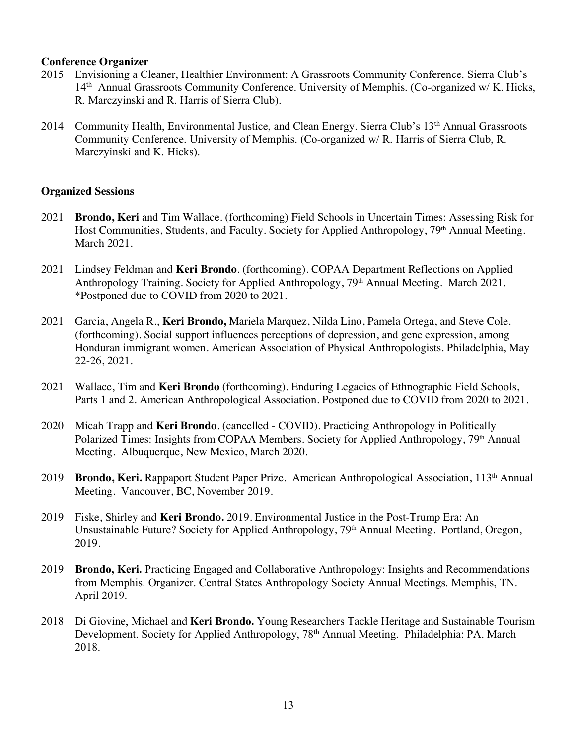#### **Conference Organizer**

- 2015 Envisioning a Cleaner, Healthier Environment: A Grassroots Community Conference. Sierra Club's 14<sup>th</sup> Annual Grassroots Community Conference. University of Memphis. (Co-organized w/ K. Hicks, R. Marczyinski and R. Harris of Sierra Club).
- 2014 Community Health, Environmental Justice, and Clean Energy. Sierra Club's 13<sup>th</sup> Annual Grassroots Community Conference. University of Memphis. (Co-organized w/ R. Harris of Sierra Club, R. Marczyinski and K. Hicks).

## **Organized Sessions**

- 2021 **Brondo, Keri** and Tim Wallace. (forthcoming) Field Schools in Uncertain Times: Assessing Risk for Host Communities, Students, and Faculty. Society for Applied Anthropology, 79<sup>th</sup> Annual Meeting. March 2021.
- 2021 Lindsey Feldman and **Keri Brondo**. (forthcoming). COPAA Department Reflections on Applied Anthropology Training. Society for Applied Anthropology, 79<sup>th</sup> Annual Meeting. March 2021. \*Postponed due to COVID from 2020 to 2021.
- 2021 Garcia, Angela R., **Keri Brondo,** Mariela Marquez, Nilda Lino, Pamela Ortega, and Steve Cole. (forthcoming). Social support influences perceptions of depression, and gene expression, among Honduran immigrant women. American Association of Physical Anthropologists. Philadelphia, May 22-26, 2021.
- 2021 Wallace, Tim and **Keri Brondo** (forthcoming). Enduring Legacies of Ethnographic Field Schools, Parts 1 and 2. American Anthropological Association. Postponed due to COVID from 2020 to 2021.
- 2020 Micah Trapp and **Keri Brondo**. (cancelled COVID). Practicing Anthropology in Politically Polarized Times: Insights from COPAA Members. Society for Applied Anthropology, 79<sup>th</sup> Annual Meeting. Albuquerque, New Mexico, March 2020.
- 2019 **Brondo, Keri.** Rappaport Student Paper Prize.American Anthropological Association, 113th Annual Meeting. Vancouver, BC, November 2019.
- 2019 Fiske, Shirley and **Keri Brondo.** 2019. Environmental Justice in the Post-Trump Era: An Unsustainable Future? Society for Applied Anthropology, 79<sup>th</sup> Annual Meeting. Portland, Oregon, 2019.
- 2019 **Brondo, Keri.** Practicing Engaged and Collaborative Anthropology: Insights and Recommendations from Memphis. Organizer. Central States Anthropology Society Annual Meetings. Memphis, TN. April 2019.
- 2018 Di Giovine, Michael and **Keri Brondo.** Young Researchers Tackle Heritage and Sustainable Tourism Development. Society for Applied Anthropology, 78<sup>th</sup> Annual Meeting. Philadelphia: PA. March 2018.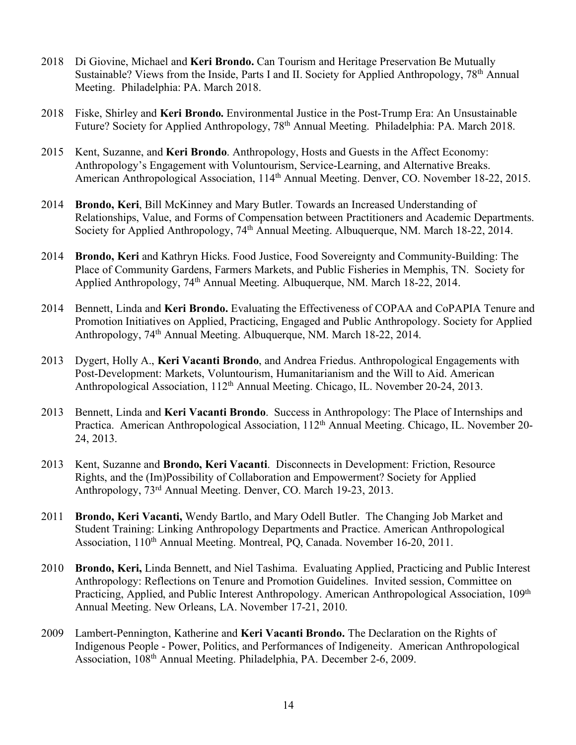- 2018 Di Giovine, Michael and **Keri Brondo.** Can Tourism and Heritage Preservation Be Mutually Sustainable? Views from the Inside, Parts I and II. Society for Applied Anthropology, 78<sup>th</sup> Annual Meeting. Philadelphia: PA. March 2018.
- 2018 Fiske, Shirley and **Keri Brondo.** Environmental Justice in the Post-Trump Era: An Unsustainable Future? Society for Applied Anthropology, 78<sup>th</sup> Annual Meeting. Philadelphia: PA. March 2018.
- 2015 Kent, Suzanne, and **Keri Brondo**. Anthropology, Hosts and Guests in the Affect Economy: Anthropology's Engagement with Voluntourism, Service-Learning, and Alternative Breaks. American Anthropological Association, 114<sup>th</sup> Annual Meeting. Denver, CO. November 18-22, 2015.
- 2014 **Brondo, Keri**, Bill McKinney and Mary Butler. Towards an Increased Understanding of Relationships, Value, and Forms of Compensation between Practitioners and Academic Departments. Society for Applied Anthropology, 74<sup>th</sup> Annual Meeting. Albuquerque, NM. March 18-22, 2014.
- 2014 **Brondo, Keri** and Kathryn Hicks. Food Justice, Food Sovereignty and Community-Building: The Place of Community Gardens, Farmers Markets, and Public Fisheries in Memphis, TN. Society for Applied Anthropology, 74th Annual Meeting. Albuquerque, NM. March 18-22, 2014.
- 2014 Bennett, Linda and **Keri Brondo.** Evaluating the Effectiveness of COPAA and CoPAPIA Tenure and Promotion Initiatives on Applied, Practicing, Engaged and Public Anthropology. Society for Applied Anthropology, 74th Annual Meeting. Albuquerque, NM. March 18-22, 2014.
- 2013 Dygert, Holly A., **Keri Vacanti Brondo**, and Andrea Friedus. Anthropological Engagements with Post-Development: Markets, Voluntourism, Humanitarianism and the Will to Aid. American Anthropological Association, 112<sup>th</sup> Annual Meeting. Chicago, IL. November 20-24, 2013.
- 2013 Bennett, Linda and **Keri Vacanti Brondo**.Success in Anthropology: The Place of Internships and Practica. American Anthropological Association, 112<sup>th</sup> Annual Meeting. Chicago, IL. November 20-24, 2013.
- 2013 Kent, Suzanne and **Brondo, Keri Vacanti**. Disconnects in Development: Friction, Resource Rights, and the (Im)Possibility of Collaboration and Empowerment? Society for Applied Anthropology, 73rd Annual Meeting. Denver, CO. March 19-23, 2013.
- 2011 **Brondo, Keri Vacanti,** Wendy Bartlo, and Mary Odell Butler. The Changing Job Market and Student Training: Linking Anthropology Departments and Practice. American Anthropological Association, 110<sup>th</sup> Annual Meeting. Montreal, PQ, Canada. November 16-20, 2011.
- 2010 **Brondo, Keri,** Linda Bennett, and Niel Tashima. Evaluating Applied, Practicing and Public Interest Anthropology: Reflections on Tenure and Promotion Guidelines. Invited session, Committee on Practicing, Applied, and Public Interest Anthropology. American Anthropological Association, 109<sup>th</sup> Annual Meeting. New Orleans, LA. November 17-21, 2010.
- 2009 Lambert-Pennington, Katherine and **Keri Vacanti Brondo.** The Declaration on the Rights of Indigenous People - Power, Politics, and Performances of Indigeneity. American Anthropological Association, 108th Annual Meeting. Philadelphia, PA. December 2-6, 2009.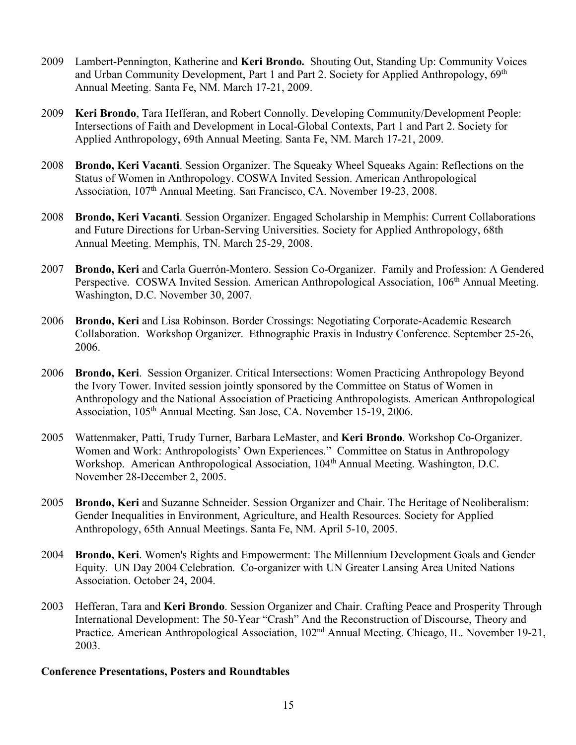- 2009 Lambert-Pennington, Katherine and **Keri Brondo.** Shouting Out, Standing Up: Community Voices and Urban Community Development, Part 1 and Part 2. Society for Applied Anthropology, 69<sup>th</sup> Annual Meeting. Santa Fe, NM. March 17-21, 2009.
- 2009 **Keri Brondo**, Tara Hefferan, and Robert Connolly. Developing Community/Development People: Intersections of Faith and Development in Local-Global Contexts, Part 1 and Part 2. Society for Applied Anthropology, 69th Annual Meeting. Santa Fe, NM. March 17-21, 2009.
- 2008 **Brondo, Keri Vacanti**. Session Organizer. The Squeaky Wheel Squeaks Again: Reflections on the Status of Women in Anthropology. COSWA Invited Session. American Anthropological Association, 107<sup>th</sup> Annual Meeting. San Francisco, CA. November 19-23, 2008.
- 2008 **Brondo, Keri Vacanti**. Session Organizer. Engaged Scholarship in Memphis: Current Collaborations and Future Directions for Urban-Serving Universities. Society for Applied Anthropology, 68th Annual Meeting. Memphis, TN. March 25-29, 2008.
- 2007 **Brondo, Keri** and Carla Guerrón-Montero. Session Co-Organizer. Family and Profession: A Gendered Perspective. COSWA Invited Session. American Anthropological Association, 106<sup>th</sup> Annual Meeting. Washington, D.C. November 30, 2007.
- 2006 **Brondo, Keri** and Lisa Robinson. Border Crossings: Negotiating Corporate-Academic Research Collaboration. Workshop Organizer. Ethnographic Praxis in Industry Conference. September 25-26, 2006.
- 2006 **Brondo, Keri**. Session Organizer. Critical Intersections: Women Practicing Anthropology Beyond the Ivory Tower. Invited session jointly sponsored by the Committee on Status of Women in Anthropology and the National Association of Practicing Anthropologists. American Anthropological Association, 105<sup>th</sup> Annual Meeting. San Jose, CA. November 15-19, 2006.
- 2005 Wattenmaker, Patti, Trudy Turner, Barbara LeMaster, and **Keri Brondo**. Workshop Co-Organizer. Women and Work: Anthropologists' Own Experiences." Committee on Status in Anthropology Workshop. American Anthropological Association, 104<sup>th</sup> Annual Meeting. Washington, D.C. November 28-December 2, 2005.
- 2005 **Brondo, Keri** and Suzanne Schneider. Session Organizer and Chair. The Heritage of Neoliberalism: Gender Inequalities in Environment, Agriculture, and Health Resources. Society for Applied Anthropology, 65th Annual Meetings. Santa Fe, NM. April 5-10, 2005.
- 2004 **Brondo, Keri**. Women's Rights and Empowerment: The Millennium Development Goals and Gender Equity. UN Day 2004 Celebration. Co-organizer with UN Greater Lansing Area United Nations Association. October 24, 2004.
- 2003 Hefferan, Tara and **Keri Brondo**. Session Organizer and Chair. Crafting Peace and Prosperity Through International Development: The 50-Year "Crash" And the Reconstruction of Discourse, Theory and Practice. American Anthropological Association, 102nd Annual Meeting. Chicago, IL. November 19-21, 2003.

#### **Conference Presentations, Posters and Roundtables**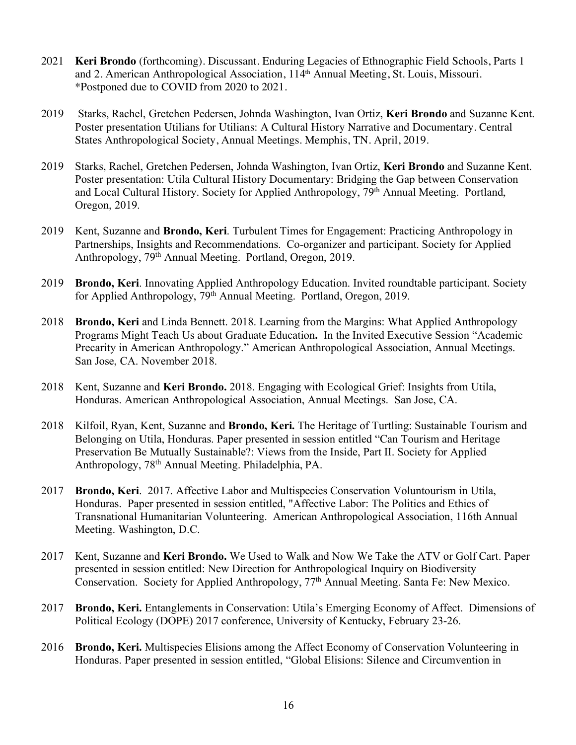- 2021 **Keri Brondo** (forthcoming). Discussant. Enduring Legacies of Ethnographic Field Schools, Parts 1 and 2. American Anthropological Association, 114th Annual Meeting, St. Louis, Missouri. \*Postponed due to COVID from 2020 to 2021.
- 2019 Starks, Rachel, Gretchen Pedersen, Johnda Washington, Ivan Ortiz, **Keri Brondo** and Suzanne Kent. Poster presentation Utilians for Utilians: A Cultural History Narrative and Documentary. Central States Anthropological Society, Annual Meetings. Memphis, TN. April, 2019.
- 2019 Starks, Rachel, Gretchen Pedersen, Johnda Washington, Ivan Ortiz, **Keri Brondo** and Suzanne Kent. Poster presentation: Utila Cultural History Documentary: Bridging the Gap between Conservation and Local Cultural History. Society for Applied Anthropology, 79<sup>th</sup> Annual Meeting. Portland, Oregon, 2019.
- 2019 Kent, Suzanne and **Brondo, Keri**. Turbulent Times for Engagement: Practicing Anthropology in Partnerships, Insights and Recommendations. Co-organizer and participant. Society for Applied Anthropology, 79th Annual Meeting. Portland, Oregon, 2019.
- 2019 **Brondo, Keri**. Innovating Applied Anthropology Education. Invited roundtable participant. Society for Applied Anthropology, 79<sup>th</sup> Annual Meeting. Portland, Oregon, 2019.
- 2018 **Brondo, Keri** and Linda Bennett. 2018. Learning from the Margins: What Applied Anthropology Programs Might Teach Us about Graduate Education**.** In the Invited Executive Session "Academic Precarity in American Anthropology." American Anthropological Association, Annual Meetings. San Jose, CA. November 2018.
- 2018 Kent, Suzanne and **Keri Brondo.** 2018. Engaging with Ecological Grief: Insights from Utila, Honduras. American Anthropological Association, Annual Meetings. San Jose, CA.
- 2018 Kilfoil, Ryan, Kent, Suzanne and **Brondo, Keri.** The Heritage of Turtling: Sustainable Tourism and Belonging on Utila, Honduras. Paper presented in session entitled "Can Tourism and Heritage Preservation Be Mutually Sustainable?: Views from the Inside, Part II. Society for Applied Anthropology, 78th Annual Meeting. Philadelphia, PA.
- 2017 **Brondo, Keri**. 2017. Affective Labor and Multispecies Conservation Voluntourism in Utila, Honduras. Paper presented in session entitled, "Affective Labor: The Politics and Ethics of Transnational Humanitarian Volunteering. American Anthropological Association, 116th Annual Meeting. Washington, D.C.
- 2017 Kent, Suzanne and **Keri Brondo.** We Used to Walk and Now We Take the ATV or Golf Cart. Paper presented in session entitled: New Direction for Anthropological Inquiry on Biodiversity Conservation. Society for Applied Anthropology, 77th Annual Meeting. Santa Fe: New Mexico.
- 2017 **Brondo, Keri.** Entanglements in Conservation: Utila's Emerging Economy of Affect. Dimensions of Political Ecology (DOPE) 2017 conference, University of Kentucky, February 23-26.
- 2016 **Brondo, Keri.** Multispecies Elisions among the Affect Economy of Conservation Volunteering in Honduras. Paper presented in session entitled, "Global Elisions: Silence and Circumvention in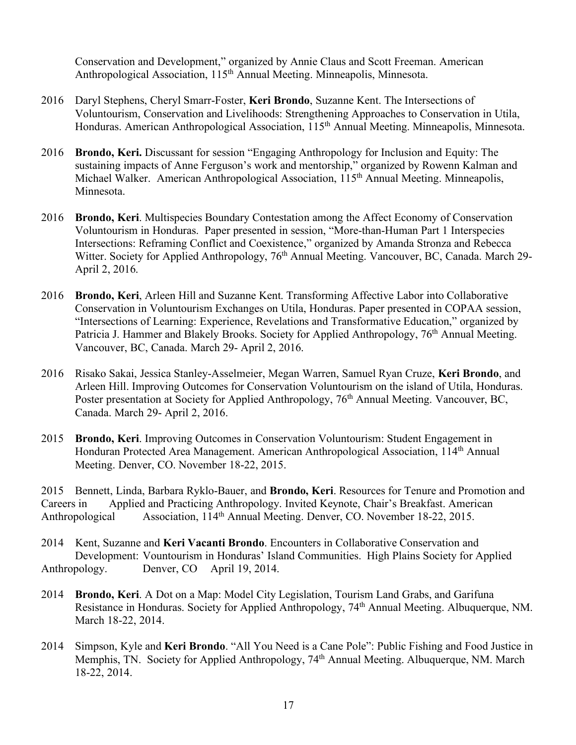Conservation and Development," organized by Annie Claus and Scott Freeman. American Anthropological Association, 115<sup>th</sup> Annual Meeting. Minneapolis, Minnesota.

- 2016 Daryl Stephens, Cheryl Smarr-Foster, **Keri Brondo**, Suzanne Kent. The Intersections of Voluntourism, Conservation and Livelihoods: Strengthening Approaches to Conservation in Utila, Honduras. American Anthropological Association, 115th Annual Meeting. Minneapolis, Minnesota.
- 2016 **Brondo, Keri.** Discussant for session "Engaging Anthropology for Inclusion and Equity: The sustaining impacts of Anne Ferguson's work and mentorship," organized by Rowenn Kalman and Michael Walker. American Anthropological Association, 115<sup>th</sup> Annual Meeting. Minneapolis, Minnesota.
- 2016 **Brondo, Keri**. Multispecies Boundary Contestation among the Affect Economy of Conservation Voluntourism in Honduras. Paper presented in session, "More-than-Human Part 1 Interspecies Intersections: Reframing Conflict and Coexistence," organized by Amanda Stronza and Rebecca Witter. Society for Applied Anthropology, 76<sup>th</sup> Annual Meeting. Vancouver, BC, Canada. March 29-April 2, 2016.
- 2016 **Brondo, Keri**, Arleen Hill and Suzanne Kent. Transforming Affective Labor into Collaborative Conservation in Voluntourism Exchanges on Utila, Honduras. Paper presented in COPAA session, "Intersections of Learning: Experience, Revelations and Transformative Education," organized by Patricia J. Hammer and Blakely Brooks. Society for Applied Anthropology, 76<sup>th</sup> Annual Meeting. Vancouver, BC, Canada. March 29- April 2, 2016.
- 2016 Risako Sakai, Jessica Stanley-Asselmeier, Megan Warren, Samuel Ryan Cruze, **Keri Brondo**, and Arleen Hill. Improving Outcomes for Conservation Voluntourism on the island of Utila, Honduras. Poster presentation at Society for Applied Anthropology, 76<sup>th</sup> Annual Meeting. Vancouver, BC, Canada. March 29- April 2, 2016.
- 2015 **Brondo, Keri**. Improving Outcomes in Conservation Voluntourism: Student Engagement in Honduran Protected Area Management. American Anthropological Association, 114th Annual Meeting. Denver, CO. November 18-22, 2015.

2015 Bennett, Linda, Barbara Ryklo-Bauer, and **Brondo, Keri**. Resources for Tenure and Promotion and Careers in Applied and Practicing Anthropology. Invited Keynote, Chair's Breakfast. American Anthropological Association, 114<sup>th</sup> Annual Meeting. Denver, CO. November 18-22, 2015.

- 2014 Kent, Suzanne and **Keri Vacanti Brondo**. Encounters in Collaborative Conservation and Development: Vountourism in Honduras' Island Communities. High Plains Society for Applied Anthropology. Denver, CO April 19, 2014.
- 2014 **Brondo, Keri**. A Dot on a Map: Model City Legislation, Tourism Land Grabs, and Garifuna Resistance in Honduras. Society for Applied Anthropology, 74<sup>th</sup> Annual Meeting. Albuquerque, NM. March 18-22, 2014.
- 2014 Simpson, Kyle and **Keri Brondo**. "All You Need is a Cane Pole": Public Fishing and Food Justice in Memphis, TN. Society for Applied Anthropology, 74<sup>th</sup> Annual Meeting. Albuquerque, NM. March 18-22, 2014.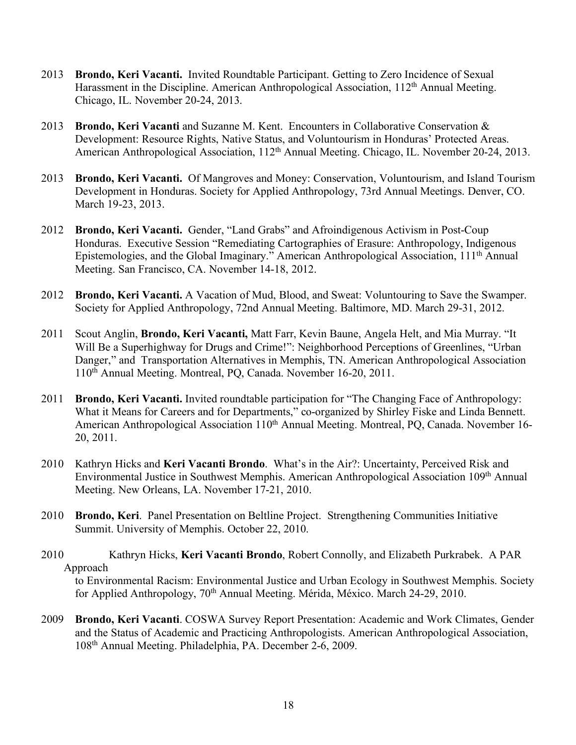- 2013 **Brondo, Keri Vacanti.** Invited Roundtable Participant. Getting to Zero Incidence of Sexual Harassment in the Discipline. American Anthropological Association, 112<sup>th</sup> Annual Meeting. Chicago, IL. November 20-24, 2013.
- 2013 **Brondo, Keri Vacanti** and Suzanne M. Kent. Encounters in Collaborative Conservation & Development: Resource Rights, Native Status, and Voluntourism in Honduras' Protected Areas. American Anthropological Association, 112<sup>th</sup> Annual Meeting. Chicago, IL. November 20-24, 2013.
- 2013 **Brondo, Keri Vacanti.** Of Mangroves and Money: Conservation, Voluntourism, and Island Tourism Development in Honduras. Society for Applied Anthropology, 73rd Annual Meetings. Denver, CO. March 19-23, 2013.
- 2012 **Brondo, Keri Vacanti.** Gender, "Land Grabs" and Afroindigenous Activism in Post-Coup Honduras. Executive Session "Remediating Cartographies of Erasure: Anthropology, Indigenous Epistemologies, and the Global Imaginary." American Anthropological Association, 111th Annual Meeting. San Francisco, CA. November 14-18, 2012.
- 2012 **Brondo, Keri Vacanti.** A Vacation of Mud, Blood, and Sweat: Voluntouring to Save the Swamper. Society for Applied Anthropology, 72nd Annual Meeting. Baltimore, MD. March 29-31, 2012.
- 2011 Scout Anglin, **Brondo, Keri Vacanti,** Matt Farr, Kevin Baune, Angela Helt, and Mia Murray. "It Will Be a Superhighway for Drugs and Crime!": Neighborhood Perceptions of Greenlines, "Urban Danger," and Transportation Alternatives in Memphis, TN. American Anthropological Association 110th Annual Meeting. Montreal, PQ, Canada. November 16-20, 2011.
- 2011 **Brondo, Keri Vacanti.** Invited roundtable participation for "The Changing Face of Anthropology: What it Means for Careers and for Departments," co-organized by Shirley Fiske and Linda Bennett. American Anthropological Association 110<sup>th</sup> Annual Meeting. Montreal, PO, Canada. November 16-20, 2011.
- 2010 Kathryn Hicks and **Keri Vacanti Brondo**. What's in the Air?: Uncertainty, Perceived Risk and Environmental Justice in Southwest Memphis. American Anthropological Association 109th Annual Meeting. New Orleans, LA. November 17-21, 2010.
- 2010 **Brondo, Keri**. Panel Presentation on Beltline Project. Strengthening Communities Initiative Summit. University of Memphis. October 22, 2010.
- 2010 Kathryn Hicks, **Keri Vacanti Brondo**, Robert Connolly, and Elizabeth Purkrabek. A PAR Approach

to Environmental Racism: Environmental Justice and Urban Ecology in Southwest Memphis. Society for Applied Anthropology, 70<sup>th</sup> Annual Meeting. Mérida, México. March 24-29, 2010.

2009 **Brondo, Keri Vacanti**. COSWA Survey Report Presentation: Academic and Work Climates, Gender and the Status of Academic and Practicing Anthropologists. American Anthropological Association, 108th Annual Meeting. Philadelphia, PA. December 2-6, 2009.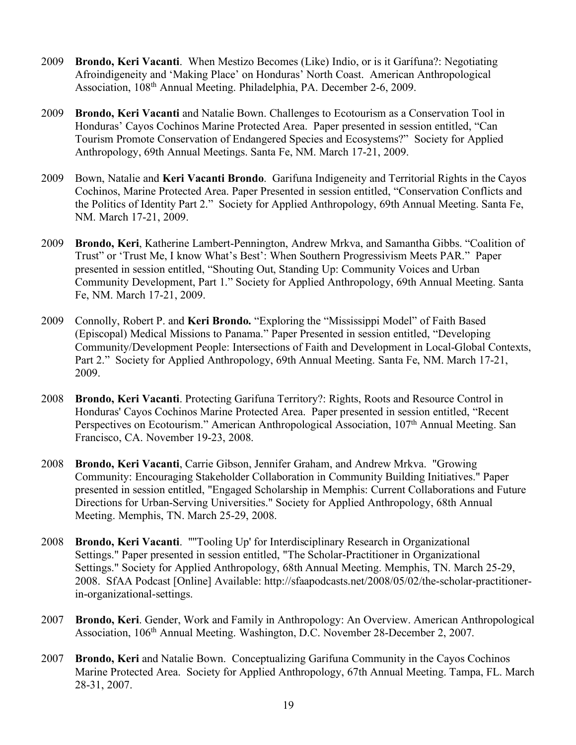- 2009 **Brondo, Keri Vacanti**. When Mestizo Becomes (Like) Indio, or is it Garífuna?: Negotiating Afroindigeneity and 'Making Place' on Honduras' North Coast. American Anthropological Association, 108th Annual Meeting. Philadelphia, PA. December 2-6, 2009.
- 2009 **Brondo, Keri Vacanti** and Natalie Bown. Challenges to Ecotourism as a Conservation Tool in Honduras' Cayos Cochinos Marine Protected Area. Paper presented in session entitled, "Can Tourism Promote Conservation of Endangered Species and Ecosystems?" Society for Applied Anthropology, 69th Annual Meetings. Santa Fe, NM. March 17-21, 2009.
- 2009 Bown, Natalie and **Keri Vacanti Brondo**. Garifuna Indigeneity and Territorial Rights in the Cayos Cochinos, Marine Protected Area. Paper Presented in session entitled, "Conservation Conflicts and the Politics of Identity Part 2." Society for Applied Anthropology, 69th Annual Meeting. Santa Fe, NM. March 17-21, 2009.
- 2009 **Brondo, Keri**, Katherine Lambert-Pennington, Andrew Mrkva, and Samantha Gibbs. "Coalition of Trust" or 'Trust Me, I know What's Best': When Southern Progressivism Meets PAR." Paper presented in session entitled, "Shouting Out, Standing Up: Community Voices and Urban Community Development, Part 1." Society for Applied Anthropology, 69th Annual Meeting. Santa Fe, NM. March 17-21, 2009.
- 2009 Connolly, Robert P. and **Keri Brondo.** "Exploring the "Mississippi Model" of Faith Based (Episcopal) Medical Missions to Panama." Paper Presented in session entitled, "Developing Community/Development People: Intersections of Faith and Development in Local-Global Contexts, Part 2." Society for Applied Anthropology, 69th Annual Meeting. Santa Fe, NM. March 17-21, 2009.
- 2008 **Brondo, Keri Vacanti**. Protecting Garifuna Territory?: Rights, Roots and Resource Control in Honduras' Cayos Cochinos Marine Protected Area. Paper presented in session entitled, "Recent Perspectives on Ecotourism." American Anthropological Association, 107<sup>th</sup> Annual Meeting. San Francisco, CA. November 19-23, 2008.
- 2008 **Brondo, Keri Vacanti**, Carrie Gibson, Jennifer Graham, and Andrew Mrkva. "Growing Community: Encouraging Stakeholder Collaboration in Community Building Initiatives." Paper presented in session entitled, "Engaged Scholarship in Memphis: Current Collaborations and Future Directions for Urban-Serving Universities." Society for Applied Anthropology, 68th Annual Meeting. Memphis, TN. March 25-29, 2008.
- 2008 **Brondo, Keri Vacanti**. "''Tooling Up' for Interdisciplinary Research in Organizational Settings." Paper presented in session entitled, "The Scholar-Practitioner in Organizational Settings." Society for Applied Anthropology, 68th Annual Meeting. Memphis, TN. March 25-29, 2008. SfAA Podcast [Online] Available: http://sfaapodcasts.net/2008/05/02/the-scholar-practitionerin-organizational-settings.
- 2007 **Brondo, Keri**. Gender, Work and Family in Anthropology: An Overview. American Anthropological Association, 106th Annual Meeting. Washington, D.C. November 28-December 2, 2007.
- 2007 **Brondo, Keri** and Natalie Bown. Conceptualizing Garifuna Community in the Cayos Cochinos Marine Protected Area. Society for Applied Anthropology, 67th Annual Meeting. Tampa, FL. March 28-31, 2007.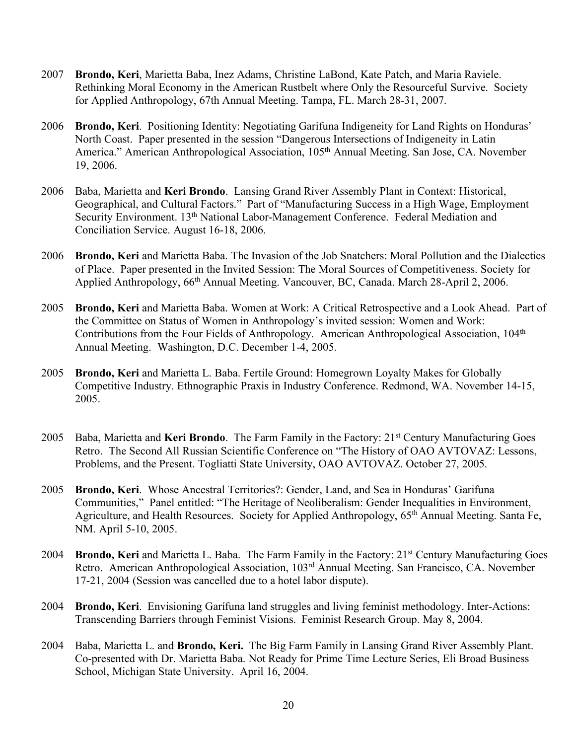- 2007 **Brondo, Keri**, Marietta Baba, Inez Adams, Christine LaBond, Kate Patch, and Maria Raviele. Rethinking Moral Economy in the American Rustbelt where Only the Resourceful Survive. Society for Applied Anthropology, 67th Annual Meeting. Tampa, FL. March 28-31, 2007.
- 2006 **Brondo, Keri**. Positioning Identity: Negotiating Garifuna Indigeneity for Land Rights on Honduras' North Coast. Paper presented in the session "Dangerous Intersections of Indigeneity in Latin America." American Anthropological Association, 105<sup>th</sup> Annual Meeting. San Jose, CA. November 19, 2006.
- 2006 Baba, Marietta and **Keri Brondo**. Lansing Grand River Assembly Plant in Context: Historical, Geographical, and Cultural Factors." Part of "Manufacturing Success in a High Wage, Employment Security Environment. 13th National Labor-Management Conference. Federal Mediation and Conciliation Service. August 16-18, 2006.
- 2006 **Brondo, Keri** and Marietta Baba. The Invasion of the Job Snatchers: Moral Pollution and the Dialectics of Place. Paper presented in the Invited Session: The Moral Sources of Competitiveness. Society for Applied Anthropology, 66th Annual Meeting. Vancouver, BC, Canada. March 28-April 2, 2006.
- 2005 **Brondo, Keri** and Marietta Baba. Women at Work: A Critical Retrospective and a Look Ahead. Part of the Committee on Status of Women in Anthropology's invited session: Women and Work: Contributions from the Four Fields of Anthropology. American Anthropological Association, 104<sup>th</sup> Annual Meeting. Washington, D.C. December 1-4, 2005.
- 2005 **Brondo, Keri** and Marietta L. Baba. Fertile Ground: Homegrown Loyalty Makes for Globally Competitive Industry. Ethnographic Praxis in Industry Conference. Redmond, WA. November 14-15, 2005.
- 2005 Baba, Marietta and **Keri Brondo**. The Farm Family in the Factory: 21st Century Manufacturing Goes Retro. The Second All Russian Scientific Conference on "The History of OAO AVTOVAZ: Lessons, Problems, and the Present. Togliatti State University, OAO AVTOVAZ. October 27, 2005.
- 2005 **Brondo, Keri**. Whose Ancestral Territories?: Gender, Land, and Sea in Honduras' Garifuna Communities," Panel entitled: "The Heritage of Neoliberalism: Gender Inequalities in Environment, Agriculture, and Health Resources. Society for Applied Anthropology, 65th Annual Meeting. Santa Fe, NM. April 5-10, 2005.
- 2004 **Brondo, Keri** and Marietta L. Baba. The Farm Family in the Factory: 21st Century Manufacturing Goes Retro. American Anthropological Association, 103rd Annual Meeting. San Francisco, CA. November 17-21, 2004 (Session was cancelled due to a hotel labor dispute).
- 2004 **Brondo, Keri**. Envisioning Garífuna land struggles and living feminist methodology. Inter-Actions: Transcending Barriers through Feminist Visions. Feminist Research Group. May 8, 2004.
- 2004 Baba, Marietta L. and **Brondo, Keri.** The Big Farm Family in Lansing Grand River Assembly Plant. Co-presented with Dr. Marietta Baba. Not Ready for Prime Time Lecture Series, Eli Broad Business School, Michigan State University. April 16, 2004.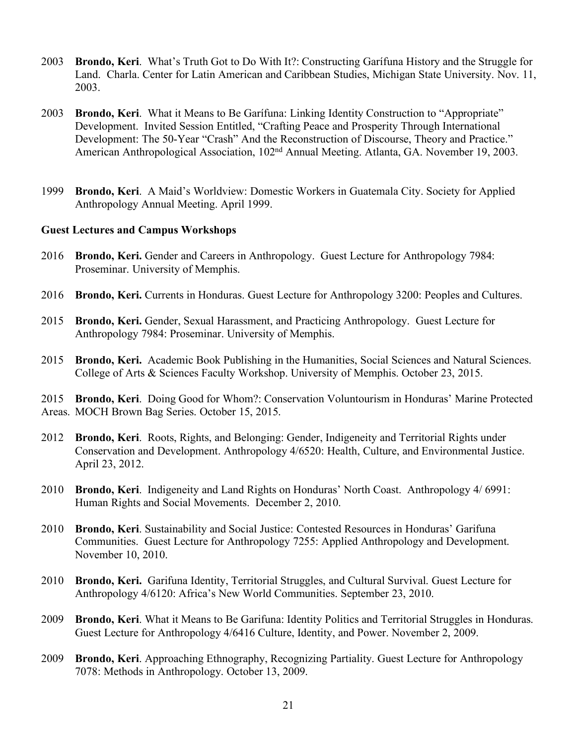- 2003 **Brondo, Keri**. What's Truth Got to Do With It?: Constructing Garífuna History and the Struggle for Land. Charla. Center for Latin American and Caribbean Studies, Michigan State University. Nov. 11, 2003.
- 2003 **Brondo, Keri**. What it Means to Be Garífuna: Linking Identity Construction to "Appropriate" Development. Invited Session Entitled, "Crafting Peace and Prosperity Through International Development: The 50-Year "Crash" And the Reconstruction of Discourse, Theory and Practice." American Anthropological Association, 102<sup>nd</sup> Annual Meeting. Atlanta, GA. November 19, 2003.
- 1999 **Brondo, Keri**. A Maid's Worldview: Domestic Workers in Guatemala City. Society for Applied Anthropology Annual Meeting. April 1999.

#### **Guest Lectures and Campus Workshops**

- 2016 **Brondo, Keri.** Gender and Careers in Anthropology. Guest Lecture for Anthropology 7984: Proseminar. University of Memphis.
- 2016 **Brondo, Keri.** Currents in Honduras. Guest Lecture for Anthropology 3200: Peoples and Cultures.
- 2015 **Brondo, Keri.** Gender, Sexual Harassment, and Practicing Anthropology. Guest Lecture for Anthropology 7984: Proseminar. University of Memphis.
- 2015 **Brondo, Keri.** Academic Book Publishing in the Humanities, Social Sciences and Natural Sciences. College of Arts & Sciences Faculty Workshop. University of Memphis. October 23, 2015.

2015 **Brondo, Keri**. Doing Good for Whom?: Conservation Voluntourism in Honduras' Marine Protected Areas. MOCH Brown Bag Series. October 15, 2015.

- 2012 **Brondo, Keri**. Roots, Rights, and Belonging: Gender, Indigeneity and Territorial Rights under Conservation and Development. Anthropology 4/6520: Health, Culture, and Environmental Justice. April 23, 2012.
- 2010 **Brondo, Keri**. Indigeneity and Land Rights on Honduras' North Coast. Anthropology 4/ 6991: Human Rights and Social Movements. December 2, 2010.
- 2010 **Brondo, Keri**. Sustainability and Social Justice: Contested Resources in Honduras' Garifuna Communities. Guest Lecture for Anthropology 7255: Applied Anthropology and Development. November 10, 2010.
- 2010 **Brondo, Keri.** Garifuna Identity, Territorial Struggles, and Cultural Survival. Guest Lecture for Anthropology 4/6120: Africa's New World Communities. September 23, 2010.
- 2009 **Brondo, Keri**. What it Means to Be Garifuna: Identity Politics and Territorial Struggles in Honduras. Guest Lecture for Anthropology 4/6416 Culture, Identity, and Power. November 2, 2009.
- 2009 **Brondo, Keri**. Approaching Ethnography, Recognizing Partiality. Guest Lecture for Anthropology 7078: Methods in Anthropology. October 13, 2009.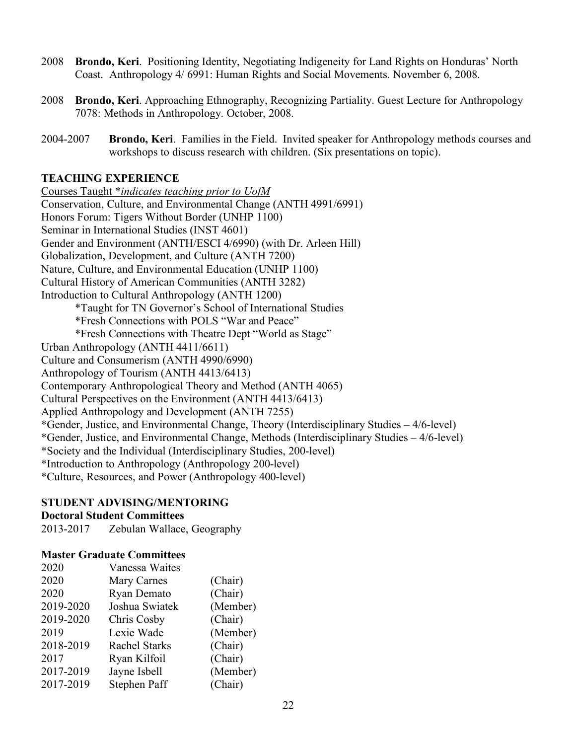- 2008 **Brondo, Keri**. Positioning Identity, Negotiating Indigeneity for Land Rights on Honduras' North Coast. Anthropology 4/ 6991: Human Rights and Social Movements. November 6, 2008.
- 2008 **Brondo, Keri**. Approaching Ethnography, Recognizing Partiality. Guest Lecture for Anthropology 7078: Methods in Anthropology. October, 2008.
- 2004-2007 **Brondo, Keri**. Families in the Field. Invited speaker for Anthropology methods courses and workshops to discuss research with children. (Six presentations on topic).

## **TEACHING EXPERIENCE**

Courses Taught \**indicates teaching prior to UofM* Conservation, Culture, and Environmental Change (ANTH 4991/6991) Honors Forum: Tigers Without Border (UNHP 1100) Seminar in International Studies (INST 4601) Gender and Environment (ANTH/ESCI 4/6990) (with Dr. Arleen Hill) Globalization, Development, and Culture (ANTH 7200) Nature, Culture, and Environmental Education (UNHP 1100) Cultural History of American Communities (ANTH 3282) Introduction to Cultural Anthropology (ANTH 1200) \*Taught for TN Governor's School of International Studies \*Fresh Connections with POLS "War and Peace" \*Fresh Connections with Theatre Dept "World as Stage" Urban Anthropology (ANTH 4411/6611) Culture and Consumerism (ANTH 4990/6990) Anthropology of Tourism (ANTH 4413/6413) Contemporary Anthropological Theory and Method (ANTH 4065) Cultural Perspectives on the Environment (ANTH 4413/6413) Applied Anthropology and Development (ANTH 7255) \*Gender, Justice, and Environmental Change, Theory (Interdisciplinary Studies – 4/6-level) \*Gender, Justice, and Environmental Change, Methods (Interdisciplinary Studies – 4/6-level) \*Society and the Individual (Interdisciplinary Studies, 200-level) \*Introduction to Anthropology (Anthropology 200-level) \*Culture, Resources, and Power (Anthropology 400-level)

#### **STUDENT ADVISING/MENTORING**

#### **Doctoral Student Committees**

2013-2017 Zebulan Wallace, Geography

#### **Master Graduate Committees**

| 2020      | Vanessa Waites       |          |
|-----------|----------------------|----------|
| 2020      | <b>Mary Carnes</b>   | (Chair)  |
| 2020      | Ryan Demato          | (Chair)  |
| 2019-2020 | Joshua Swiatek       | (Member) |
| 2019-2020 | Chris Cosby          | (Chair)  |
| 2019      | Lexie Wade           | (Member) |
| 2018-2019 | <b>Rachel Starks</b> | (Chair)  |
| 2017      | Ryan Kilfoil         | (Chair)  |
| 2017-2019 | Jayne Isbell         | (Member) |
| 2017-2019 | Stephen Paff         | (Chair)  |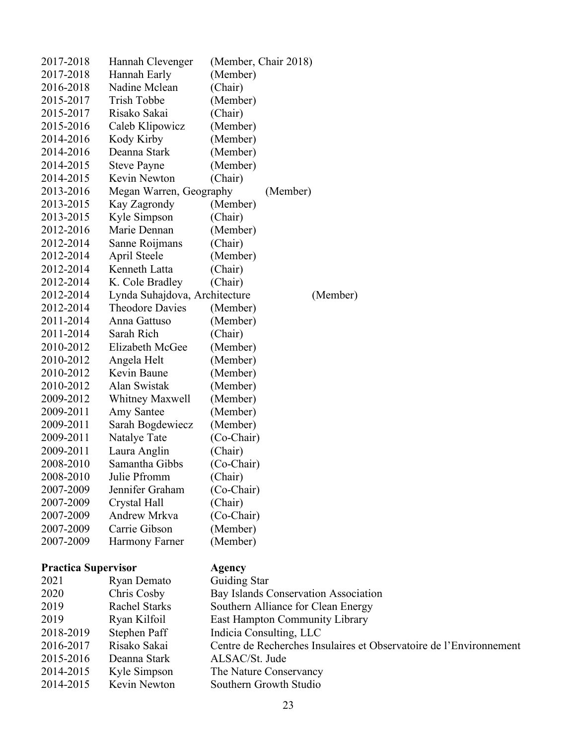| 2017-2018                  | Hannah Clevenger              | (Member, Chair 2018)                                               |
|----------------------------|-------------------------------|--------------------------------------------------------------------|
| 2017-2018                  | Hannah Early                  | (Member)                                                           |
| 2016-2018                  | Nadine Mclean                 | (Chair)                                                            |
| 2015-2017                  | Trish Tobbe                   | (Member)                                                           |
| 2015-2017                  | Risako Sakai                  | (Chair)                                                            |
| 2015-2016                  | Caleb Klipowicz               | (Member)                                                           |
| 2014-2016                  | Kody Kirby                    | (Member)                                                           |
| 2014-2016                  | Deanna Stark                  | (Member)                                                           |
| 2014-2015                  | <b>Steve Payne</b>            | (Member)                                                           |
| 2014-2015                  | Kevin Newton                  | (Chair)                                                            |
| 2013-2016                  | Megan Warren, Geography       | (Member)                                                           |
| 2013-2015                  | Kay Zagrondy                  | (Member)                                                           |
| 2013-2015                  | Kyle Simpson                  | (Chair)                                                            |
| 2012-2016                  | Marie Dennan                  | (Member)                                                           |
| 2012-2014                  | Sanne Roijmans                | (Chair)                                                            |
| 2012-2014                  | April Steele                  | (Member)                                                           |
| 2012-2014                  | Kenneth Latta                 | (Chair)                                                            |
| 2012-2014                  | K. Cole Bradley               | (Chair)                                                            |
| 2012-2014                  | Lynda Suhajdova, Architecture | (Member)                                                           |
| 2012-2014                  | <b>Theodore Davies</b>        | (Member)                                                           |
| 2011-2014                  | Anna Gattuso                  | (Member)                                                           |
| 2011-2014                  | Sarah Rich                    | (Chair)                                                            |
| 2010-2012                  | Elizabeth McGee               | (Member)                                                           |
| 2010-2012                  | Angela Helt                   | (Member)                                                           |
| 2010-2012                  | Kevin Baune                   | (Member)                                                           |
| 2010-2012                  | Alan Swistak                  | (Member)                                                           |
| 2009-2012                  |                               |                                                                    |
|                            | <b>Whitney Maxwell</b>        | (Member)                                                           |
| 2009-2011                  | <b>Amy Santee</b>             | (Member)                                                           |
| 2009-2011                  | Sarah Bogdewiecz              | (Member)                                                           |
| 2009-2011                  | Natalye Tate                  | (Co-Chair)                                                         |
| 2009-2011                  | Laura Anglin                  | (Chair)                                                            |
| 2008-2010                  | Samantha Gibbs                | (Co-Chair)                                                         |
| 2008-2010                  | Julie Pfromm                  | (Chair)                                                            |
| 2007-2009                  | Jennifer Graham               | (Co-Chair)                                                         |
| 2007-2009                  | Crystal Hall                  | (Chair)                                                            |
| 2007-2009                  | Andrew Mrkva                  | (Co-Chair)                                                         |
| 2007-2009                  | Carrie Gibson                 | (Member)                                                           |
| 2007-2009                  | Harmony Farner                | (Member)                                                           |
| <b>Practica Supervisor</b> |                               | Agency                                                             |
| 2021                       | Ryan Demato                   | <b>Guiding Star</b>                                                |
| 2020                       | Chris Cosby                   | Bay Islands Conservation Association                               |
| 2019                       | <b>Rachel Starks</b>          | Southern Alliance for Clean Energy                                 |
| 2019                       | Ryan Kilfoil                  | East Hampton Community Library                                     |
| 2018-2019                  | Stephen Paff                  | Indicia Consulting, LLC                                            |
| 2016-2017                  | Risako Sakai                  | Centre de Recherches Insulaires et Observatoire de l'Environnement |
| 2015-2016                  | Deanna Stark                  | ALSAC/St. Jude                                                     |
| 2014-2015                  | Kyle Simpson                  | The Nature Conservancy                                             |
| 2014-2015                  | Kevin Newton                  | Southern Growth Studio                                             |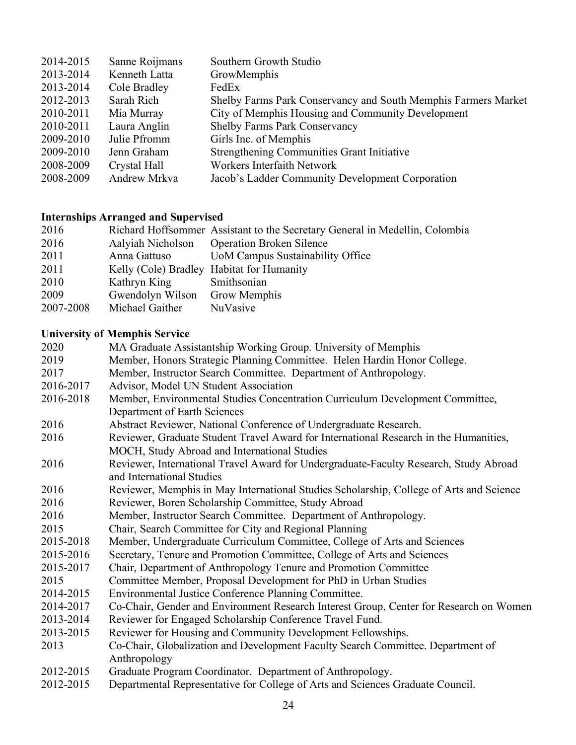| 2014-2015 | Sanne Roijmans | Southern Growth Studio                                         |
|-----------|----------------|----------------------------------------------------------------|
| 2013-2014 | Kenneth Latta  | GrowMemphis                                                    |
| 2013-2014 | Cole Bradley   | FedEx                                                          |
| 2012-2013 | Sarah Rich     | Shelby Farms Park Conservancy and South Memphis Farmers Market |
| 2010-2011 | Mia Murray     | City of Memphis Housing and Community Development              |
| 2010-2011 | Laura Anglin   | <b>Shelby Farms Park Conservancy</b>                           |
| 2009-2010 | Julie Pfromm   | Girls Inc. of Memphis                                          |
| 2009-2010 | Jenn Graham    | Strengthening Communities Grant Initiative                     |
| 2008-2009 | Crystal Hall   | Workers Interfaith Network                                     |
| 2008-2009 | Andrew Mrkva   | Jacob's Ladder Community Development Corporation               |

# **Internships Arranged and Supervised**

| 2016      |                                           | Richard Hoffsommer Assistant to the Secretary General in Medellin, Colombia |
|-----------|-------------------------------------------|-----------------------------------------------------------------------------|
| 2016      | Aalyiah Nicholson                         | <b>Operation Broken Silence</b>                                             |
| 2011      | Anna Gattuso                              | <b>UoM Campus Sustainability Office</b>                                     |
| 2011      | Kelly (Cole) Bradley Habitat for Humanity |                                                                             |
| 2010      | Kathryn King                              | Smithsonian                                                                 |
| 2009      | Gwendolyn Wilson                          | <b>Grow Memphis</b>                                                         |
| 2007-2008 | Michael Gaither                           | NuVasive                                                                    |

## **University of Memphis Service**

| 2020      | MA Graduate Assistantship Working Group. University of Memphis                                                                                                                                                                                                                                                                                                                 |
|-----------|--------------------------------------------------------------------------------------------------------------------------------------------------------------------------------------------------------------------------------------------------------------------------------------------------------------------------------------------------------------------------------|
| 2019      | Member, Honors Strategic Planning Committee. Helen Hardin Honor College.                                                                                                                                                                                                                                                                                                       |
| 2017      | Member, Instructor Search Committee. Department of Anthropology.                                                                                                                                                                                                                                                                                                               |
| 2016-2017 | Advisor, Model UN Student Association                                                                                                                                                                                                                                                                                                                                          |
| 2016-2018 | Member, Environmental Studies Concentration Curriculum Development Committee,                                                                                                                                                                                                                                                                                                  |
|           | Department of Earth Sciences                                                                                                                                                                                                                                                                                                                                                   |
| 2016      | Abstract Reviewer, National Conference of Undergraduate Research.                                                                                                                                                                                                                                                                                                              |
| 2016      | Reviewer, Graduate Student Travel Award for International Research in the Humanities,                                                                                                                                                                                                                                                                                          |
|           | MOCH, Study Abroad and International Studies                                                                                                                                                                                                                                                                                                                                   |
| 2016      | Reviewer, International Travel Award for Undergraduate-Faculty Research, Study Abroad                                                                                                                                                                                                                                                                                          |
|           | and International Studies                                                                                                                                                                                                                                                                                                                                                      |
| 2016      | Reviewer, Memphis in May International Studies Scholarship, College of Arts and Science                                                                                                                                                                                                                                                                                        |
| 2016      | Reviewer, Boren Scholarship Committee, Study Abroad                                                                                                                                                                                                                                                                                                                            |
| 2016      | Member, Instructor Search Committee. Department of Anthropology.                                                                                                                                                                                                                                                                                                               |
| 2015      | Chair, Search Committee for City and Regional Planning                                                                                                                                                                                                                                                                                                                         |
| 2015-2018 | Member, Undergraduate Curriculum Committee, College of Arts and Sciences                                                                                                                                                                                                                                                                                                       |
| 2015-2016 | Secretary, Tenure and Promotion Committee, College of Arts and Sciences                                                                                                                                                                                                                                                                                                        |
| 2015-2017 | Chair, Department of Anthropology Tenure and Promotion Committee                                                                                                                                                                                                                                                                                                               |
| 2015      | Committee Member, Proposal Development for PhD in Urban Studies                                                                                                                                                                                                                                                                                                                |
| 2014-2015 | Environmental Justice Conference Planning Committee.                                                                                                                                                                                                                                                                                                                           |
| 2014-2017 | Co-Chair, Gender and Environment Research Interest Group, Center for Research on Women                                                                                                                                                                                                                                                                                         |
| 2013-2014 | Reviewer for Engaged Scholarship Conference Travel Fund.                                                                                                                                                                                                                                                                                                                       |
| 2013-2015 | Reviewer for Housing and Community Development Fellowships.                                                                                                                                                                                                                                                                                                                    |
| 2013      | Co-Chair, Globalization and Development Faculty Search Committee. Department of                                                                                                                                                                                                                                                                                                |
|           | Anthropology                                                                                                                                                                                                                                                                                                                                                                   |
| 2012-2015 | Graduate Program Coordinator. Department of Anthropology.                                                                                                                                                                                                                                                                                                                      |
| 0.10.015  | $\mathcal{L}$ $\mathcal{L}$ $\mathcal{L}$ $\mathcal{L}$ $\mathcal{L}$ $\mathcal{L}$ $\mathcal{L}$ $\mathcal{L}$ $\mathcal{L}$ $\mathcal{L}$ $\mathcal{L}$ $\mathcal{L}$ $\mathcal{L}$ $\mathcal{L}$ $\mathcal{L}$ $\mathcal{L}$ $\mathcal{L}$ $\mathcal{L}$ $\mathcal{L}$ $\mathcal{L}$ $\mathcal{L}$ $\mathcal{L}$ $\mathcal{L}$ $\mathcal{L}$ $\mathcal{$<br>$\sim$ 1 $\sim$ |

2012-2015 Departmental Representative for College of Arts and Sciences Graduate Council.